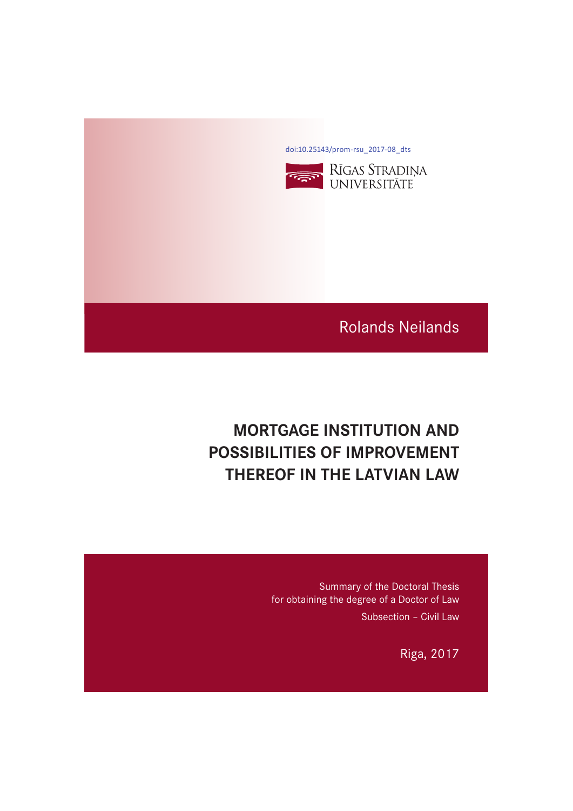[doi:10.25143/prom-rsu\\_2017-08\\_dts](https://doi.org/10.25143/prom-rsu_2017-08_dts)



# Rolands Neilands

# **MORTGAGE INSTITUTION AND POSSIBILITIES OF IMPROVEMENT PHEREOF IN THE LATVIAN LAW**

Summary of the Doctoral Thesis for obtaining the degree of a Doctor of Law Subsection – Civil Law

Riga, 2017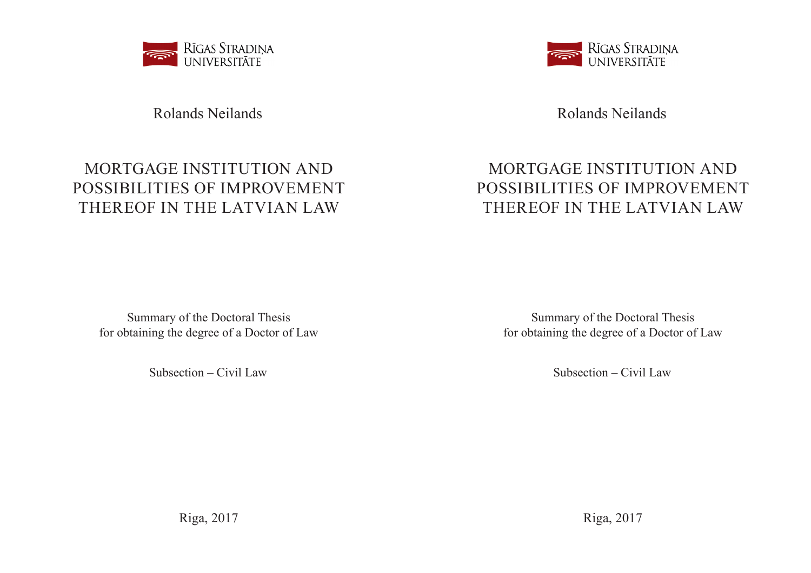

# Rolands Neilands

# MORTGAGE INSTITUTION AND POSSIBILITIES OF IMPROVEMENT THEREOF IN THE LATVIAN LAW

Summary of the Doctoral Thesis for obtaining the degree of a Doctor of Law

Subsection – Civil Law

Riga, 2017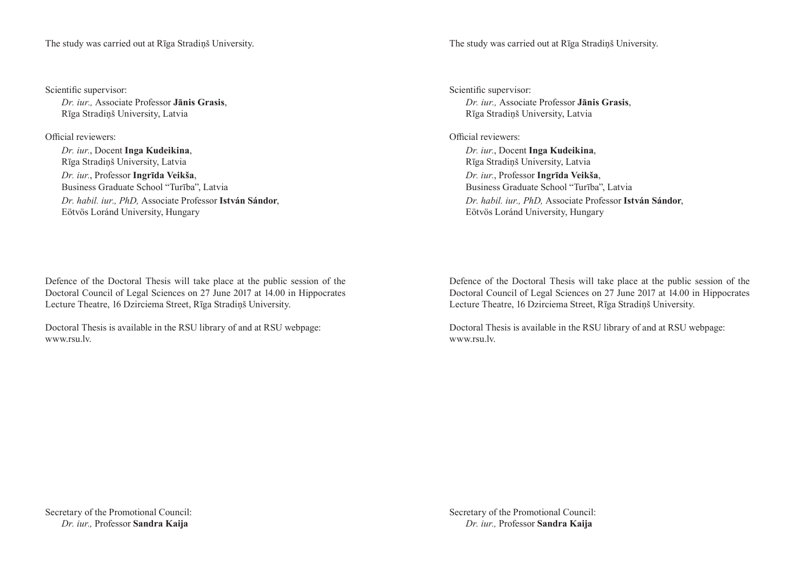The study was carried out at Rīga Stradiņš University.

Scientific supervisor:

*Dr. iur.,* Associate Professor **Jānis Grasis**, Rīga Stradiņš University, Latvia

Official reviewers:

*Dr. iur.*, Docent **Inga Kudeikina**, Rīga Stradiņš University, Latvia *Dr. iur.*, Professor **Ingrīda Veikša**, Business Graduate School "Turība", Latvia *Dr. habil. iur., PhD,* Associate Professor **István Sándor**, Eötvös Loránd University, Hungary

Defence of the Doctoral Thesis will take place at the public session of the Doctoral Council of Legal Sciences on 27 June 2017 at 14.00 in Hippocrates Lecture Theatre, 16 Dzirciema Street, Rīga Stradiņš University.

Doctoral Thesis is available in the RSU library of and at RSU webpage: www.rsu.lv.

Secretary of the Promotional Council: *Dr. iur.,* Professor **Sandra Kaija**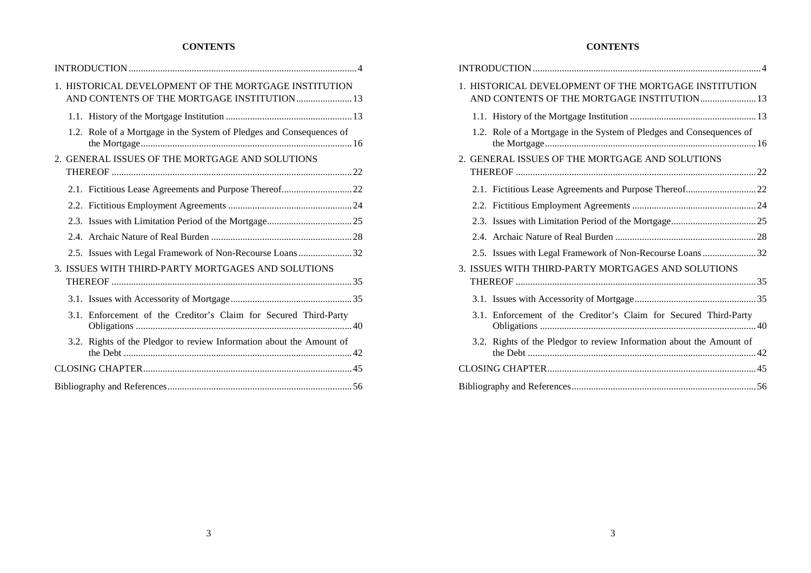## **CONTENTS**

|  | 1. HISTORICAL DEVELOPMENT OF THE MORTGAGE INSTITUTION<br>AND CONTENTS OF THE MORTGAGE INSTITUTION 13 |  |
|--|------------------------------------------------------------------------------------------------------|--|
|  |                                                                                                      |  |
|  | 1.2. Role of a Mortgage in the System of Pledges and Consequences of                                 |  |
|  | 2. GENERAL ISSUES OF THE MORTGAGE AND SOLUTIONS                                                      |  |
|  |                                                                                                      |  |
|  |                                                                                                      |  |
|  |                                                                                                      |  |
|  |                                                                                                      |  |
|  |                                                                                                      |  |
|  | 2.5. Issues with Legal Framework of Non-Recourse Loans32                                             |  |
|  | 3. ISSUES WITH THIRD-PARTY MORTGAGES AND SOLUTIONS                                                   |  |
|  |                                                                                                      |  |
|  |                                                                                                      |  |
|  | 3.1. Enforcement of the Creditor's Claim for Secured Third-Party                                     |  |
|  | 3.2. Rights of the Pledgor to review Information about the Amount of                                 |  |
|  |                                                                                                      |  |
|  |                                                                                                      |  |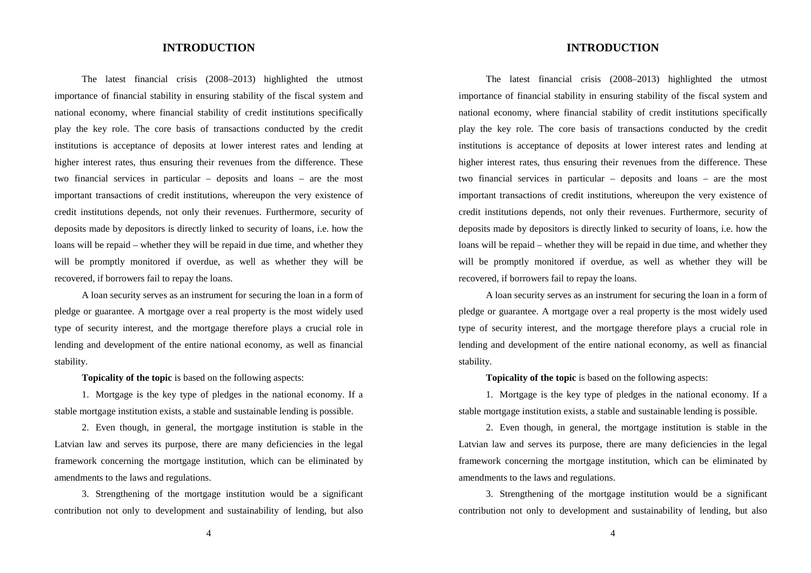## **INTRODUCTION**

The latest financial crisis (2008–2013) highlighted the utmost importance of financial stability in ensuring stability of the fiscal system and national economy, where financial stability of credit institutions specifically play the key role. The core basis of transactions conducted by the credit institutions is acceptance of deposits at lower interest rates and lending at higher interest rates, thus ensuring their revenues from the difference. These two financial services in particular – deposits and loans – are the most important transactions of credit institutions, whereupon the very existence of credit institutions depends, not only their revenues. Furthermore, security of deposits made by depositors is directly linked to security of loans, i.e. how the loans will be repaid – whether they will be repaid in due time, and whether they will be promptly monitored if overdue, as well as whether they will be recovered, if borrowers fail to repay the loans.

A loan security serves as an instrument for securing the loan in a form of pledge or guarantee. A mortgage over a real property is the most widely used type of security interest, and the mortgage therefore plays a crucial role in lending and development of the entire national economy, as well as financial stability.

**Topicality of the topic** is based on the following aspects:

1. Mortgage is the key type of pledges in the national economy. If a stable mortgage institution exists, a stable and sustainable lending is possible.

2. Even though, in general, the mortgage institution is stable in the Latvian law and serves its purpose, there are many deficiencies in the legal framework concerning the mortgage institution, which can be eliminated by amendments to the laws and regulations.

3. Strengthening of the mortgage institution would be a significant contribution not only to development and sustainability of lending, but also

4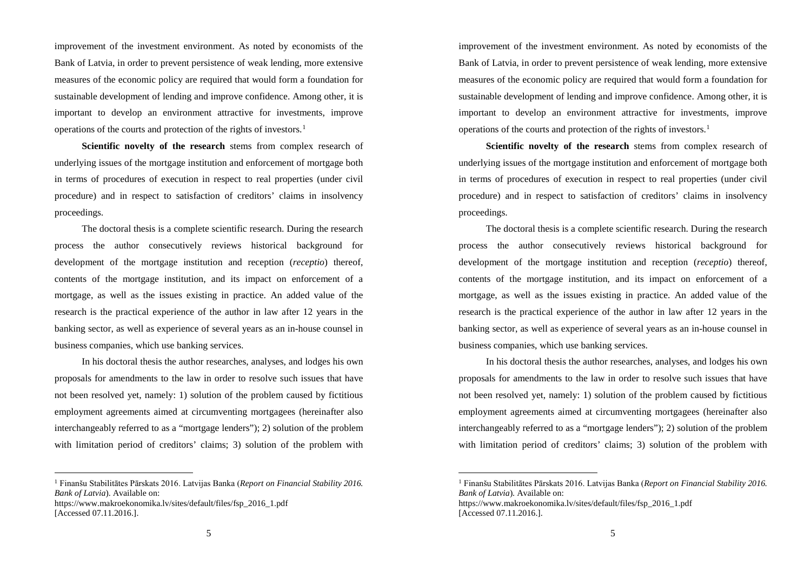improvement of the investment environment. As noted by economists of the Bank of Latvia, in order to prevent persistence of weak lending, more extensive measures of the economic policy are required that would form a foundation for sustainable development of lending and improve confidence. Among other, it is important to develop an environment attractive for investments, improve operations of the courts and protection of the rights of investors. 1

**Scientific novelty of the research** stems from complex research of underlying issues of the mortgage institution and enforcement of mortgage both in terms of procedures of execution in respect to real properties (under civil procedure) and in respect to satisfaction of creditors' claims in insolvency proceedings.

The doctoral thesis is a complete scientific research. During the research process the author consecutively reviews historical background for development of the mortgage institution and reception (*receptio*) thereof, contents of the mortgage institution, and its impact on enforcement of a mortgage, as well as the issues existing in practice. An added value of the research is the practical experience of the author in law after 12 years in the banking sector, as well as experience of several years as an in-house counsel in business companies, which use banking services.

In his doctoral thesis the author researches, analyses, and lodges his own proposals for amendments to the law in order to resolve such issues that have not been resolved yet, namely: 1) solution of the problem caused by fictitious employment agreements aimed at circumventing mortgagees (hereinafter also interchangeably referred to as a "mortgage lenders"); 2) solution of the problem with limitation period of creditors' claims; 3) solution of the problem with

 <sup>1</sup> Finanšu Stabilitātes Pārskats 2016. Latvijas Banka (*Report on Financial Stability 2016. Bank of Latvia*). Available on:

https://www.makroekonomika.lv/sites/default/files/fsp\_2016\_1.pdf [Accessed 07.11.2016.].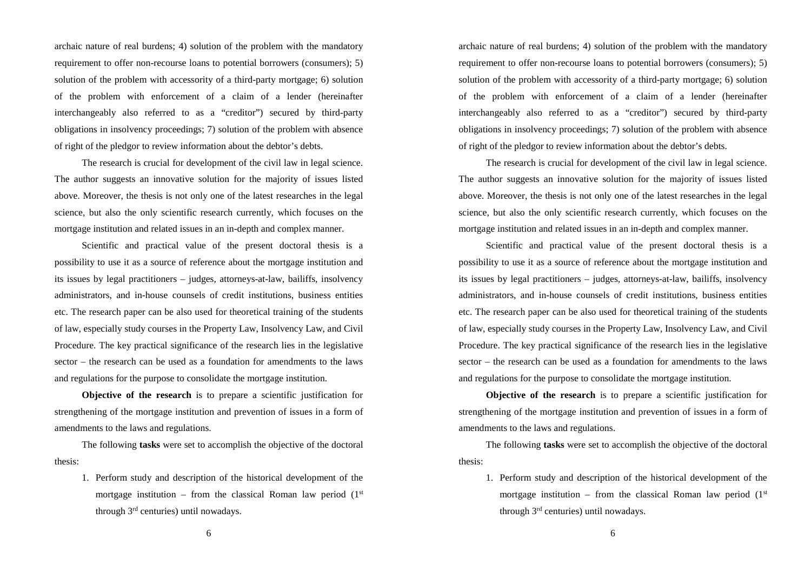archaic nature of real burdens; 4) solution of the problem with the mandatory requirement to offer non-recourse loans to potential borrowers (consumers); 5) solution of the problem with accessority of a third-party mortgage; 6) solution of the problem with enforcement of a claim of a lender (hereinafter interchangeably also referred to as a "creditor") secured by third-party obligations in insolvency proceedings; 7) solution of the problem with absence of right of the pledgor to review information about the debtor's debts.

The research is crucial for development of the civil law in legal science. The author suggests an innovative solution for the majority of issues listed above. Moreover, the thesis is not only one of the latest researches in the legal science, but also the only scientific research currently, which focuses on the mortgage institution and related issues in an in-depth and complex manner.

Scientific and practical value of the present doctoral thesis is a possibility to use it as a source of reference about the mortgage institution and its issues by legal practitioners – judges, attorneys-at-law, bailiffs, insolvency administrators, and in-house counsels of credit institutions, business entities etc. The research paper can be also used for theoretical training of the students of law, especially study courses in the Property Law, Insolvency Law, and Civil Procedure. The key practical significance of the research lies in the legislative sector – the research can be used as a foundation for amendments to the laws and regulations for the purpose to consolidate the mortgage institution.

**Objective of the research** is to prepare a scientific justification for strengthening of the mortgage institution and prevention of issues in a form of amendments to the laws and regulations.

The following **tasks** were set to accomplish the objective of the doctoral thesis:

1. Perform study and description of the historical development of the mortgage institution – from the classical Roman law period  $(1<sup>st</sup>$ through 3rd centuries) until nowadays.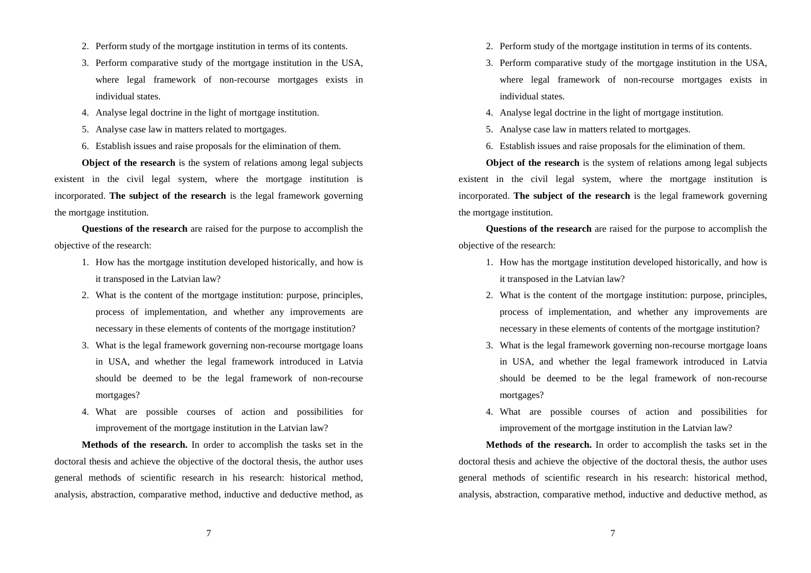- 2. Perform study of the mortgage institution in terms of its contents.
- 3. Perform comparative study of the mortgage institution in the USA, where legal framework of non-recourse mortgages exists in individual states.
- 4. Analyse legal doctrine in the light of mortgage institution.
- 5. Analyse case law in matters related to mortgages.
- 6. Establish issues and raise proposals for the elimination of them.

**Object of the research** is the system of relations among legal subjects existent in the civil legal system, where the mortgage institution is incorporated. **The subject of the research** is the legal framework governing the mortgage institution.

**Questions of the research** are raised for the purpose to accomplish the objective of the research:

- 1. How has the mortgage institution developed historically, and how is it transposed in the Latvian law?
- 2. What is the content of the mortgage institution: purpose, principles, process of implementation, and whether any improvements are necessary in these elements of contents of the mortgage institution?
- 3. What is the legal framework governing non-recourse mortgage loans in USA, and whether the legal framework introduced in Latvia should be deemed to be the legal framework of non-recourse mortgages?
- 4. What are possible courses of action and possibilities for improvement of the mortgage institution in the Latvian law?

**Methods of the research.** In order to accomplish the tasks set in the doctoral thesis and achieve the objective of the doctoral thesis, the author uses general methods of scientific research in his research: historical method, analysis, abstraction, comparative method, inductive and deductive method, as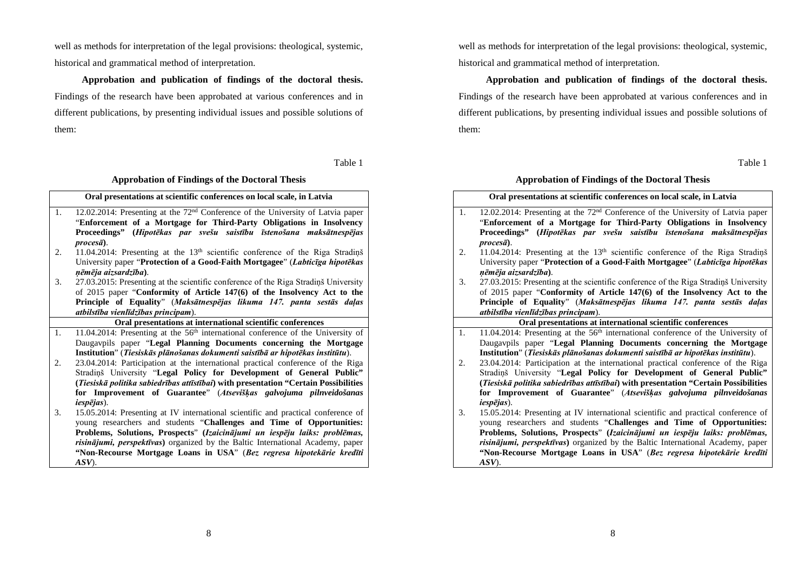well as methods for interpretation of the legal provisions: theological, systemic, historical and grammatical method of interpretation.

**Approbation and publication of findings of the doctoral thesis.**  Findings of the research have been approbated at various conferences and in different publications, by presenting individual issues and possible solutions of them:

Table 1

## **Approbation of Findings of the Doctoral Thesis**

|    | Oral presentations at scientific conferences on local scale, in Latvia                       |
|----|----------------------------------------------------------------------------------------------|
| 1. | 12.02.2014: Presenting at the $72nd$ Conference of the University of Latvia paper            |
|    | "Enforcement of a Mortgage for Third-Party Obligations in Insolvency                         |
|    | Proceedings" (Hipotēkas par svešu saistību īstenošana maksātnespējas                         |
|    | $\textit{process}\bar{\textit{a}}$ ).                                                        |
| 2. | 11.04.2014: Presenting at the 13 <sup>th</sup> scientific conference of the Riga Stradins    |
|    | University paper "Protection of a Good-Faith Mortgagee" (Labticīga hipotēkas                 |
|    | ņēmēja aizsardzība).                                                                         |
| 3. | 27.03.2015: Presenting at the scientific conference of the Riga Strading University          |
|    | of 2015 paper "Conformity of Article 147(6) of the Insolvency Act to the                     |
|    | Principle of Equality" (Maksātnespējas likuma 147. panta sestās daļas                        |
|    | atbilstība vienlīdzības principam).                                                          |
|    | Oral presentations at international scientific conferences                                   |
| 1. | 11.04.2014: Presenting at the 56 <sup>th</sup> international conference of the University of |
|    | Daugavpils paper "Legal Planning Documents concerning the Mortgage                           |
|    | Institution" (Tiesiskās plānošanas dokumenti saistībā ar hipotēkas institūtu).               |
| 2. | 23.04.2014: Participation at the international practical conference of the Riga              |
|    | Strading University "Legal Policy for Development of General Public"                         |
|    | (Tiesiskā politika sabiedrības attīstībai) with presentation "Certain Possibilities          |
|    | for Improvement of Guarantee" (Atsevišķas galvojuma pilnveidošanas                           |
|    | $iesp\bar{e}jas$ ).                                                                          |
| 3. | 15.05.2014: Presenting at IV international scientific and practical conference of            |
|    | young researchers and students "Challenges and Time of Opportunities:                        |
|    | Problems, Solutions, Prospects" (Izaicinājumi un iespēju laiks: problēmas,                   |
|    | risinājumi, perspektīvas) organized by the Baltic International Academy, paper               |
|    | "Non-Recourse Mortgage Loans in USA" (Bez regresa hipotekārie kredīti                        |
|    | ASV).                                                                                        |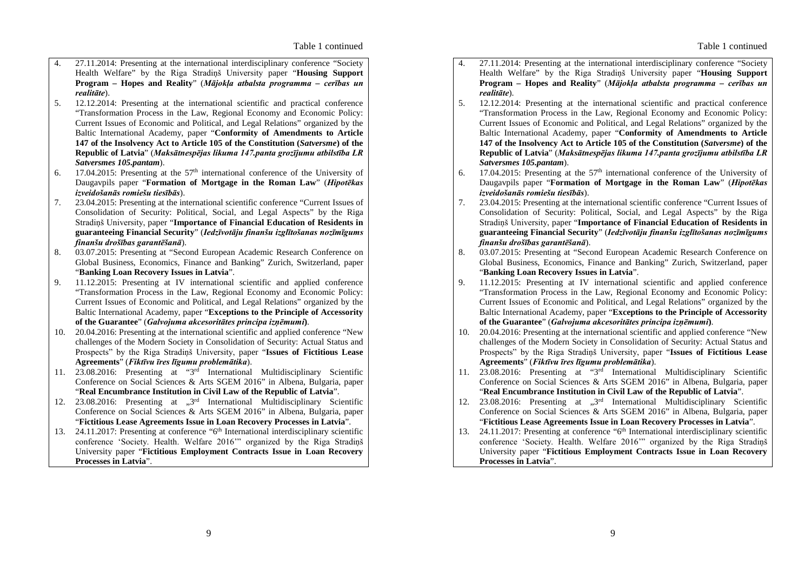- 4. 27.11.2014: Presenting at the international interdisciplinary conference "Society Health Welfare" by the Riga Stradiņš University paper "**Housing Support Program – Hopes and Reality**" (*Mājokļa atbalsta programma – cerības un realitāte*).
- 5. 12.12.2014: Presenting at the international scientific and practical conference "Transformation Process in the Law, Regional Economy and Economic Policy: Current Issues of Economic and Political, and Legal Relations" organized by the Baltic International Academy, paper "**Conformity of Amendments to Article 147 of the Insolvency Act to Article 105 of the Constitution (***Satversme***) of the Republic of Latvia**" (*Maksātnespējas likuma 147.panta grozījumu atbilstība LR Satversmes 105.pantam*).
- 6. 17.04.2015: Presenting at the  $57<sup>th</sup>$  international conference of the University of Daugavpils paper "**Formation of Mortgage in the Roman Law**" (*Hipotēkas izveidošanās romiešu tiesībās*).
- 7. 23.04.2015: Presenting at the international scientific conference "Current Issues of Consolidation of Security: Political, Social, and Legal Aspects" by the Riga Stradiņš University, paper "**Importance of Financial Education of Residents in guaranteeing Financial Security**" (*Iedzīvotāju finanšu izglītošanas nozīmīgums finanšu drošības garantēšanā*).
- 8. 03.07.2015: Presenting at "Second European Academic Research Conference on Global Business, Economics, Finance and Banking" Zurich, Switzerland, paper "**Banking Loan Recovery Issues in Latvia**".
- 9. 11.12.2015: Presenting at IV international scientific and applied conference "Transformation Process in the Law, Regional Economy and Economic Policy: Current Issues of Economic and Political, and Legal Relations" organized by the Baltic International Academy, paper "**Exceptions to the Principle of Accessority of the Guarantee**" (*Galvojuma akcesoritātes principa izņēmumi***)**.
- 10. 20.04.2016: Presenting at the international scientific and applied conference "New challenges of the Modern Society in Consolidation of Security: Actual Status and Prospects" by the Riga Stradiņš University, paper "**Issues of Fictitious Lease Agreements**" (*Fiktīvu īres līgumu problemātika*).
- 11. 23.08.2016: Presenting at "3rd International Multidisciplinary Scientific Conference on Social Sciences & Arts SGEM 2016" in Albena, Bulgaria, paper "**Real Encumbrance Institution in Civil Law of the Republic of Latvia**".
- 12. 23.08.2016: Presenting at  $,3<sup>rd</sup>$  International Multidisciplinary Scientific Conference on Social Sciences & Arts SGEM 2016" in Albena, Bulgaria, paper "**Fictitious Lease Agreements Issue in Loan Recovery Processes in Latvia**".
- 13. 24.11.2017: Presenting at conference "6<sup>th</sup> International interdisciplinary scientific conference 'Society. Health. Welfare 2016'" organized by the Riga Stradiņš University paper "**Fictitious Employment Contracts Issue in Loan Recovery Processes in Latvia**".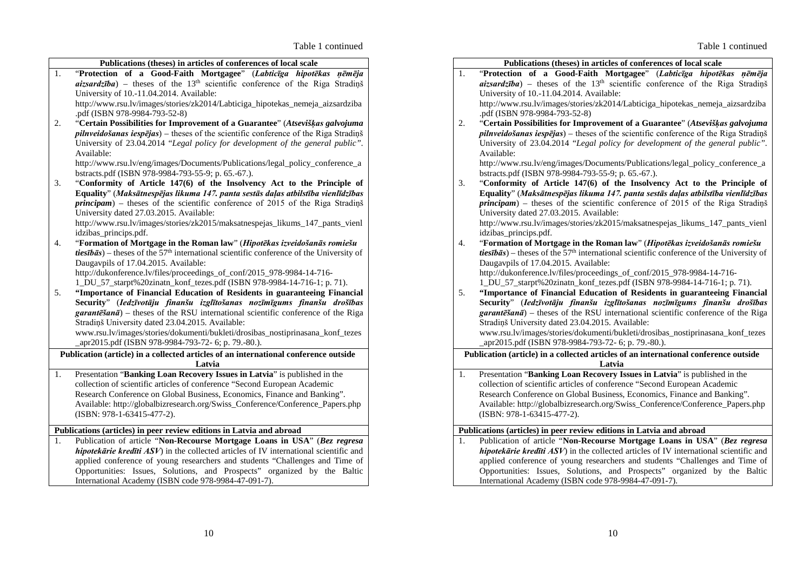|    | Publications (theses) in articles of conferences of local scale                                                          |
|----|--------------------------------------------------------------------------------------------------------------------------|
| 1. | "Protection of a Good-Faith Mortgagee" (Labticīga hipotēkas<br>nēmēja                                                    |
|    | $aizsardzība$ – theses of the 13 <sup>th</sup> scientific conference of the Riga Strading                                |
|    | University of 10.-11.04.2014. Available:                                                                                 |
|    | http://www.rsu.lv/images/stories/zk2014/Labticiga_hipotekas_nemeja_aizsardziba                                           |
|    | .pdf (ISBN 978-9984-793-52-8)                                                                                            |
| 2. | "Certain Possibilities for Improvement of a Guarantee" (Atsevišķas galvojuma                                             |
|    | $p$ <i>ilnveidošanas iespējas</i> ) – theses of the scientific conference of the Riga Stradings                          |
|    | University of 23.04.2014 "Legal policy for development of the general public".                                           |
|    | Available:                                                                                                               |
|    | http://www.rsu.lv/eng/images/Documents/Publications/legal_policy_conference_a                                            |
|    | bstracts.pdf (ISBN 978-9984-793-55-9; p. 65.-67.).                                                                       |
| 3. | "Conformity of Article 147(6) of the Insolvency Act to the Principle of                                                  |
|    | Equality" (Maksātnespējas likuma 147. panta sestās daļas atbilstība vienlīdzības                                         |
|    | $principam$ ) – theses of the scientific conference of 2015 of the Riga Stradings                                        |
|    | University dated 27.03.2015. Available:<br>http://www.rsu.lv/images/stories/zk2015/maksatnespejas_likums_147_pants_vienl |
|    | idzibas_princips.pdf.                                                                                                    |
| 4. | "Formation of Mortgage in the Roman law" (Hipotēkas izveidošanās romiešu                                                 |
|    | <i>tiesībās</i> ) – theses of the 57 <sup>th</sup> international scientific conference of the University of              |
|    | Daugavpils of 17.04.2015. Available:                                                                                     |
|    | http://dukonference.lv/files/proceedings_of_conf/2015_978-9984-14-716-                                                   |
|    | 1_DU_57_starpt%20zinatn_konf_tezes.pdf (ISBN 978-9984-14-716-1; p. 71).                                                  |
| 5. | "Importance of Financial Education of Residents in guaranteeing Financial                                                |
|    | Security" (Iedzīvotāju finanšu izglītošanas nozīmīgums finanšu drošības                                                  |
|    | $garant\bar{e}\$ and $\bar{a}$ ) – theses of the RSU international scientific conference of the Riga                     |
|    | Stradiņš University dated 23.04.2015. Available:                                                                         |
|    | www.rsu.lv/images/stories/dokumenti/bukleti/drosibas_nostiprinasana_konf_tezes                                           |
|    | _apr2015.pdf (ISBN 978-9984-793-72- 6; p. 79.-80.).                                                                      |
|    | Publication (article) in a collected articles of an international conference outside                                     |
|    | Latvia                                                                                                                   |
| 1. | Presentation "Banking Loan Recovery Issues in Latvia" is published in the                                                |
|    | collection of scientific articles of conference "Second European Academic                                                |
|    | Research Conference on Global Business, Economics, Finance and Banking".                                                 |
|    | Available: http://globalbizresearch.org/Swiss_Conference/Conference_Papers.php                                           |
|    | (ISBN: 978-1-63415-477-2).                                                                                               |
|    | Publications (articles) in peer review editions in Latvia and abroad                                                     |
| 1. | Publication of article "Non-Recourse Mortgage Loans in USA" (Bez regresa                                                 |
|    | hipotekārie kredīti ASV) in the collected articles of IV international scientific and                                    |
|    | applied conference of young researchers and students "Challenges and Time of                                             |
|    | Opportunities: Issues, Solutions, and Prospects" organized by the Baltic                                                 |
|    | International Academy (ISBN code 978-9984-47-091-7).                                                                     |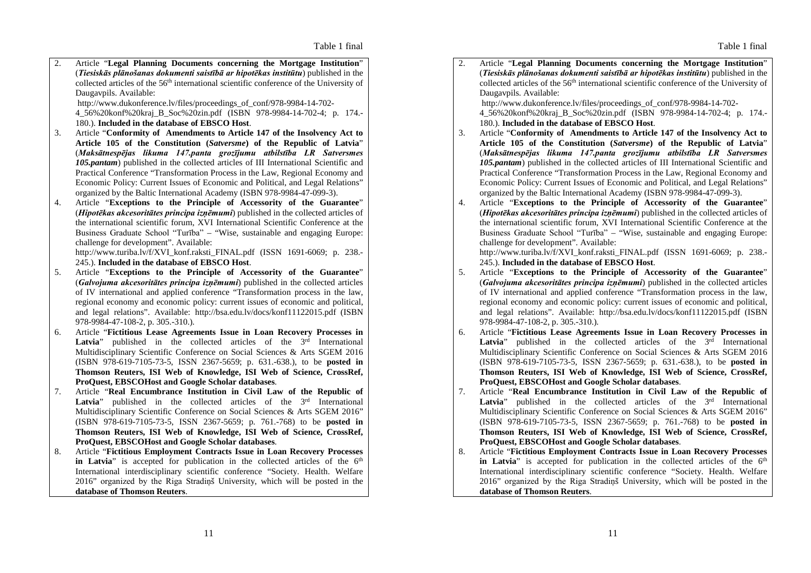2. Article "**Legal Planning Documents concerning the Mortgage Institution**" (*Tiesiskās plānošanas dokumenti saistībā ar hipotēkas institūtu*) published in the collected articles of the 56th international scientific conference of the University of Daugavpils. Available: http://www.dukonference.lv/files/proceedings\_of\_conf/978-9984-14-702- 4\_56%20konf%20kraj\_B\_Soc%20zin.pdf (ISBN 978-9984-14-702-4; p. 174.-

180.). **Included in the database of EBSCO Host**. 3. Article "**Conformity of Amendments to Article 147 of the Insolvency Act to Article 105 of the Constitution (***Satversme***) of the Republic of Latvia**" (*Maksātnespējas likuma 147.panta grozījumu atbilstība LR Satversmes 105.pantam*) published in the collected articles of III International Scientific and Practical Conference "Transformation Process in the Law, Regional Economy and Economic Policy: Current Issues of Economic and Political, and Legal Relations"

organized by the Baltic International Academy (ISBN 978-9984-47-099-3). 4. Article "**Exceptions to the Principle of Accessority of the Guarantee**" (*Hipotēkas akcesoritātes principa izņēmumi*) published in the collected articles of the international scientific forum, XVI International Scientific Conference at the Business Graduate School "Turība" – "Wise, sustainable and engaging Europe: challenge for development". Available: http://www.turiba.lv/f/XVI\_konf.raksti\_FINAL.pdf (ISSN 1691-6069; p. 238.-

245.). **Included in the database of EBSCO Host**.

- 5. Article "**Exceptions to the Principle of Accessority of the Guarantee**" (*Galvojuma akcesoritātes principa izņēmumi*) published in the collected articles of IV international and applied conference "Transformation process in the law, regional economy and economic policy: current issues of economic and political, and legal relations". Available: http://bsa.edu.lv/docs/konf11122015.pdf (ISBN 978-9984-47-108-2, p. 305.-310.).
- 6. Article "**Fictitious Lease Agreements Issue in Loan Recovery Processes in Latvia**" published in the collected articles of the 3<sup>rd</sup> International Multidisciplinary Scientific Conference on Social Sciences & Arts SGEM 2016 (ISBN 978-619-7105-73-5, ISSN 2367-5659; p. 631.-638.), to be **posted in Thomson Reuters, ISI Web of Knowledge, ISI Web of Science, CrossRef, ProQuest, EBSCOHost and Google Scholar databases**.
- 7. Article "**Real Encumbrance Institution in Civil Law of the Republic of Latvia**" published in the collected articles of the 3<sup>rd</sup> International Multidisciplinary Scientific Conference on Social Sciences & Arts SGEM 2016" (ISBN 978-619-7105-73-5, ISSN 2367-5659; p. 761.-768) to be **posted in Thomson Reuters, ISI Web of Knowledge, ISI Web of Science, CrossRef, ProQuest, EBSCOHost and Google Scholar databases**.
- 8. Article "**Fictitious Employment Contracts Issue in Loan Recovery Processes in Latvia**" is accepted for publication in the collected articles of the 6<sup>th</sup> International interdisciplinary scientific conference "Society. Health. Welfare 2016" organized by the Riga Stradiņš University, which will be posted in the **database of Thomson Reuters**.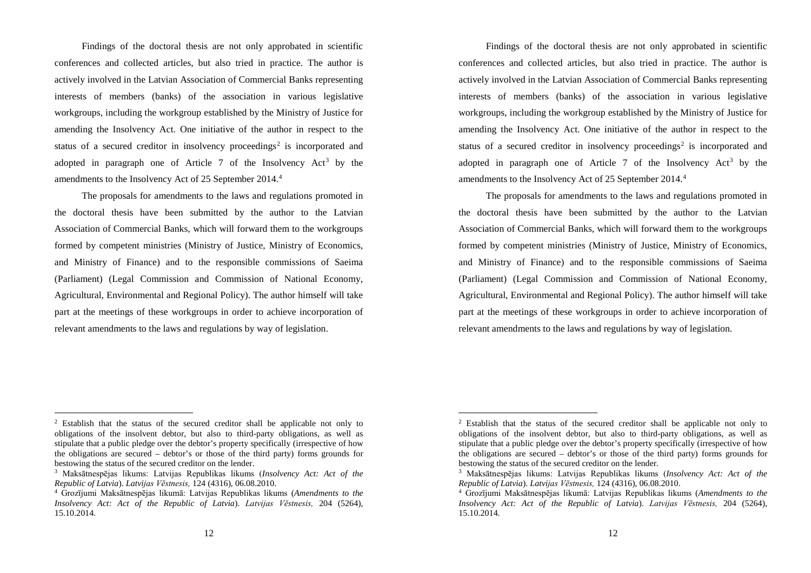Findings of the doctoral thesis are not only approbated in scientific conferences and collected articles, but also tried in practice. The author is actively involved in the Latvian Association of Commercial Banks representing interests of members (banks) of the association in various legislative workgroups, including the workgroup established by the Ministry of Justice for amending the Insolvency Act. One initiative of the author in respect to the status of a secured creditor in insolvency proceedings<sup>2</sup> is incorporated and adopted in paragraph one of Article 7 of the Insolvency  $Act<sup>3</sup>$  by the amendments to the Insolvency Act of 25 September 2014. 4

The proposals for amendments to the laws and regulations promoted in the doctoral thesis have been submitted by the author to the Latvian Association of Commercial Banks, which will forward them to the workgroups formed by competent ministries (Ministry of Justice, Ministry of Economics, and Ministry of Finance) and to the responsible commissions of Saeima (Parliament) (Legal Commission and Commission of National Economy, Agricultural, Environmental and Regional Policy). The author himself will take part at the meetings of these workgroups in order to achieve incorporation of relevant amendments to the laws and regulations by way of legislation.

 <sup>2</sup> Establish that the status of the secured creditor shall be applicable not only to obligations of the insolvent debtor, but also to third-party obligations, as well as stipulate that a public pledge over the debtor's property specifically (irrespective of how the obligations are secured – debtor's or those of the third party) forms grounds for bestowing the status of the secured creditor on the lender.

<sup>3</sup> Maksātnespējas likums: Latvijas Republikas likums (*Insolvency Act: Act of the Republic of Latvia*). *Latvijas Vēstnesis,* 124 (4316), 06.08.2010.

<sup>4</sup> Grozījumi Maksātnespējas likumā: Latvijas Republikas likums (*Amendments to the Insolvency Act: Act of the Republic of Latvia*). *Latvijas Vēstnesis,* 204 (5264), 15.10.2014.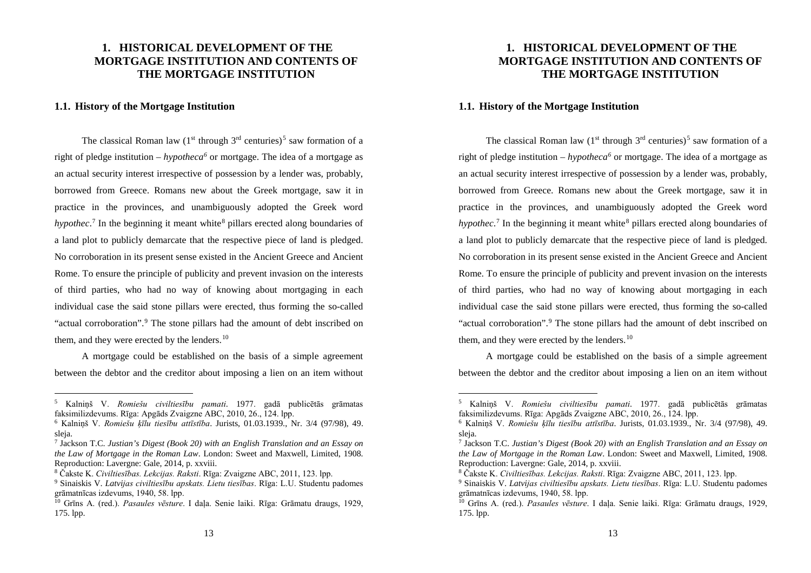## **1. HISTORICAL DEVELOPMENT OF THE MORTGAGE INSTITUTION AND CONTENTS OF THE MORTGAGE INSTITUTION**

## **1.1. History of the Mortgage Institution**

The classical Roman law  $(1<sup>st</sup>$  through  $3<sup>rd</sup>$  centuries)<sup>5</sup> saw formation of a right of pledge institution – *hypotheca6* or mortgage. The idea of a mortgage as an actual security interest irrespective of possession by a lender was, probably, borrowed from Greece. Romans new about the Greek mortgage, saw it in practice in the provinces, and unambiguously adopted the Greek word *hypothec*.<sup>7</sup> In the beginning it meant white<sup>8</sup> pillars erected along boundaries of a land plot to publicly demarcate that the respective piece of land is pledged. No corroboration in its present sense existed in the Ancient Greece and Ancient Rome. To ensure the principle of publicity and prevent invasion on the interests of third parties, who had no way of knowing about mortgaging in each individual case the said stone pillars were erected, thus forming the so-called "actual corroboration".<sup>9</sup> The stone pillars had the amount of debt inscribed on them, and they were erected by the lenders.<sup>10</sup>

A mortgage could be established on the basis of a simple agreement between the debtor and the creditor about imposing a lien on an item without

 <sup>5</sup> Kalniņš V. *Romiešu civiltiesību pamati*. 1977. gadā publicētās grāmatas faksimilizdevums. Rīga: Apgāds Zvaigzne ABC, 2010, 26., 124. lpp.

<sup>6</sup> Kalniņš V. *Romiešu ķīlu tiesību attīstība*. Jurists, 01.03.1939., Nr. 3/4 (97/98), 49. sleja.

<sup>7</sup> Jackson T.C. *Justian's Digest (Book 20) with an English Translation and an Essay on the Law of Mortgage in the Roman Law*. London: Sweet and Maxwell, Limited, 1908. Reproduction: Lavergne: Gale, 2014, p. xxviii.

<sup>8</sup> Čakste K. *Civiltiesības. Lekcijas. Raksti*. Rīga: Zvaigzne ABC, 2011, 123. lpp.

<sup>9</sup> Sinaiskis V. *Latvijas civiltiesību apskats. Lietu tiesības*. Rīga: L.U. Studentu padomes grāmatnīcas izdevums, 1940, 58. lpp.

<sup>10</sup> Grīns A. (red.). *Pasaules vēsture*. I daļa. Senie laiki. Rīga: Grāmatu draugs, 1929, 175. lpp.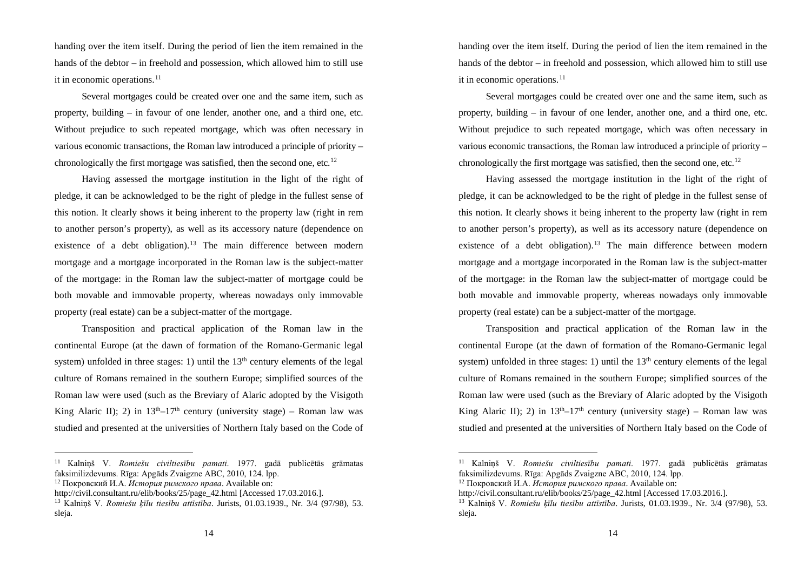handing over the item itself. During the period of lien the item remained in the hands of the debtor – in freehold and possession, which allowed him to still use it in economic operations. 11

Several mortgages could be created over one and the same item, such as property, building – in favour of one lender, another one, and a third one, etc. Without prejudice to such repeated mortgage, which was often necessary in various economic transactions, the Roman law introduced a principle of priority – chronologically the first mortgage was satisfied, then the second one, etc.<sup>12</sup>

Having assessed the mortgage institution in the light of the right of pledge, it can be acknowledged to be the right of pledge in the fullest sense of this notion. It clearly shows it being inherent to the property law (right in rem to another person's property), as well as its accessory nature (dependence on existence of a debt obligation).<sup>13</sup> The main difference between modern mortgage and a mortgage incorporated in the Roman law is the subject-matter of the mortgage: in the Roman law the subject-matter of mortgage could be both movable and immovable property, whereas nowadays only immovable property (real estate) can be a subject-matter of the mortgage.

Transposition and practical application of the Roman law in the continental Europe (at the dawn of formation of the Romano-Germanic legal system) unfolded in three stages: 1) until the  $13<sup>th</sup>$  century elements of the legal culture of Romans remained in the southern Europe; simplified sources of the Roman law were used (such as the Breviary of Alaric adopted by the Visigoth King Alaric II); 2) in  $13<sup>th</sup>-17<sup>th</sup>$  century (university stage) – Roman law was studied and presented at the universities of Northern Italy based on the Code of

 <sup>11</sup> Kalniņš V. *Romiešu civiltiesību pamati*. 1977. gadā publicētās grāmatas faksimilizdevums. Rīga: Apgāds Zvaigzne ABC, 2010, 124. lpp.

<sup>12</sup> Покровский И.А. *История римского права*. Available on:

http://civil.consultant.ru/elib/books/25/page\_42.html [Accessed 17.03.2016.].

<sup>13</sup> Kalniņš V. *Romiešu ķīlu tiesību attīstība*. Jurists, 01.03.1939., Nr. 3/4 (97/98), 53. sleja.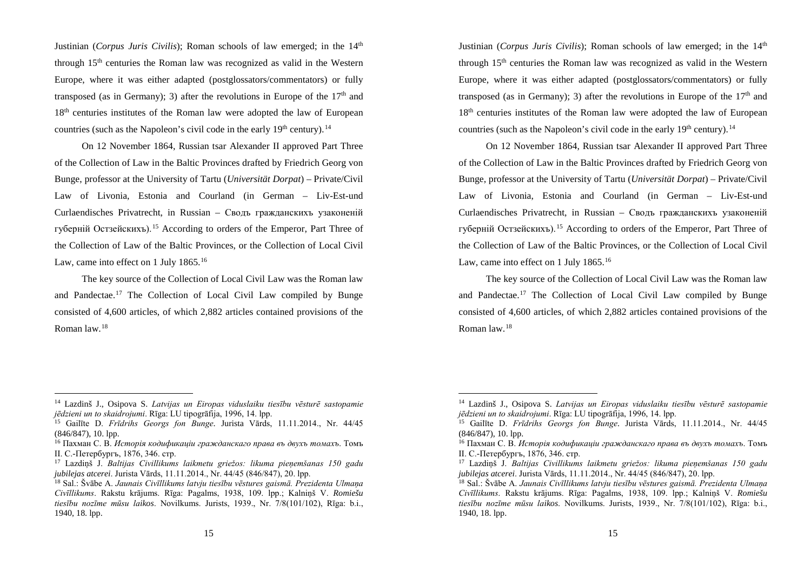Justinian (*Corpus Juris Civilis*); Roman schools of law emerged; in the 14<sup>th</sup> through 15<sup>th</sup> centuries the Roman law was recognized as valid in the Western Europe, where it was either adapted (postglossators/commentators) or fully transposed (as in Germany); 3) after the revolutions in Europe of the  $17<sup>th</sup>$  and 18<sup>th</sup> centuries institutes of the Roman law were adopted the law of European countries (such as the Napoleon's civil code in the early  $19<sup>th</sup>$  century).<sup>14</sup>

On 12 November 1864, Russian tsar Alexander II approved Part Three of the Collection of Law in the Baltic Provinces drafted by Friedrich Georg von Bunge, professor at the University of Tartu (*Universität Dorpat*) – Private/Civil Law of Livonia, Estonia and Courland (in German – Liv-Est-und Curlaendisches Privatrecht, in Russian – Сводъ гражданскихъ узаконенiй губернiй Остзейскихъ).<sup>15</sup> According to orders of the Emperor, Part Three of the Collection of Law of the Baltic Provinces, or the Collection of Local Civil Law, came into effect on 1 July 1865.<sup>16</sup>

The key source of the Collection of Local Civil Law was the Roman law and Pandectae.<sup>17</sup> The Collection of Local Civil Law compiled by Bunge consisted of 4,600 articles, of which 2,882 articles contained provisions of the Roman law. 18

 <sup>14</sup> Lazdinš J., Osipova S. *Latvijas un Eiropas viduslaiku tiesību vēsturē sastopamie jēdzieni un to skaidrojumi*. Rīga: LU tipogrāfija, 1996, 14. lpp.

<sup>15</sup> Gailīte D. *Frīdrihs Georgs fon Bunge*. Jurista Vārds, 11.11.2014., Nr. 44/45 (846/847), 10. lpp.

<sup>16</sup> Пахман С. В. *Исторiя кодификацiи гражданскaго права въ двухъ томахъ*. Томъ II. С.-Петербургъ, 1876, 346. стр.

<sup>17</sup> Lazdiņš J. *Baltijas Civillikums laikmetu griežos: likuma pieņemšanas 150 gadu jubilejas atcerei*. Jurista Vārds, 11.11.2014., Nr. 44/45 (846/847), 20. lpp.

<sup>18</sup> Sal.: Švābe A. *Jaunais Civīllikums latvju tiesību vēstures gaismā. Prezidenta Ulmaņa Civīllikums*. Rakstu krājums. Rīga: Pagalms, 1938, 109. lpp.; Kalniņš V. *Romiešu tiesību nozīme mūsu laikos*. Novilkums. Jurists, 1939., Nr. 7/8(101/102), Rīga: b.i., 1940, 18. lpp.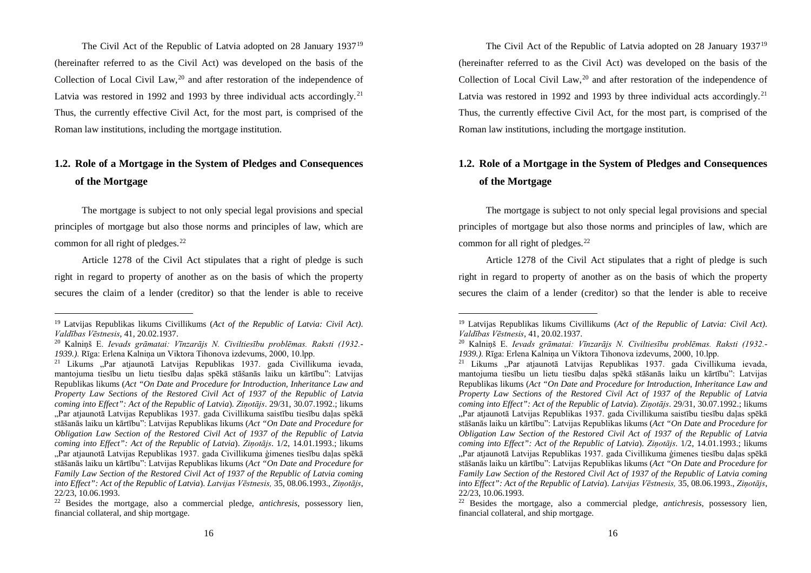The Civil Act of the Republic of Latvia adopted on 28 January 193719 (hereinafter referred to as the Civil Act) was developed on the basis of the Collection of Local Civil Law, $^{20}$  and after restoration of the independence of Latvia was restored in 1992 and 1993 by three individual acts accordingly.<sup>21</sup> Thus, the currently effective Civil Act, for the most part, is comprised of the Roman law institutions, including the mortgage institution.

## **1.2. Role of a Mortgage in the System of Pledges and Consequences of the Mortgage**

The mortgage is subject to not only special legal provisions and special principles of mortgage but also those norms and principles of law, which are common for all right of pledges. 22

Article 1278 of the Civil Act stipulates that a right of pledge is such right in regard to property of another as on the basis of which the property secures the claim of a lender (creditor) so that the lender is able to receive

 <sup>19</sup> Latvijas Republikas likums Civillikums (*Act of the Republic of Latvia: Civil Act)*. *Valdības Vēstnesis*, 41, 20.02.1937.

<sup>20</sup> Kalniņš E. *Ievads grāmatai: Vīnzarājs N. Civiltiesību problēmas. Raksti (1932.- 1939.)*. Rīga: Erlena Kalniņa un Viktora Tihonova izdevums, 2000, 10.lpp.

<sup>&</sup>lt;sup>21</sup> Likums "Par atjaunotā Latvijas Republikas 1937. gada Civillikuma ievada, mantojuma tiesību un lietu tiesību daļas spēkā stāšanās laiku un kārtību": Latvijas Republikas likums (*Act "On Date and Procedure for Introduction, Inheritance Law and Property Law Sections of the Restored Civil Act of 1937 of the Republic of Latvia coming into Effect": Act of the Republic of Latvia*). *Ziņotājs*. 29/31, 30.07.1992.; likums "Par atjaunotā Latvijas Republikas 1937. gada Civillikuma saistību tiesību daļas spēkā stāšanās laiku un kārtību": Latvijas Republikas likums (*Act "On Date and Procedure for Obligation Law Section of the Restored Civil Act of 1937 of the Republic of Latvia coming into Effect": Act of the Republic of Latvia*). *Ziņotājs*. 1/2, 14.01.1993.; likums "Par atjaunotā Latvijas Republikas 1937. gada Civillikuma ģimenes tiesību daļas spēkā stāšanās laiku un kārtību": Latvijas Republikas likums (*Act "On Date and Procedure for Family Law Section of the Restored Civil Act of 1937 of the Republic of Latvia coming into Effect": Act of the Republic of Latvia*). *Latvijas Vēstnesis,* 35, 08.06.1993., *Ziņotājs*, 22/23, 10.06.1993.

<sup>22</sup> Besides the mortgage, also a commercial pledge, *antichresis*, possessory lien, financial collateral, and ship mortgage.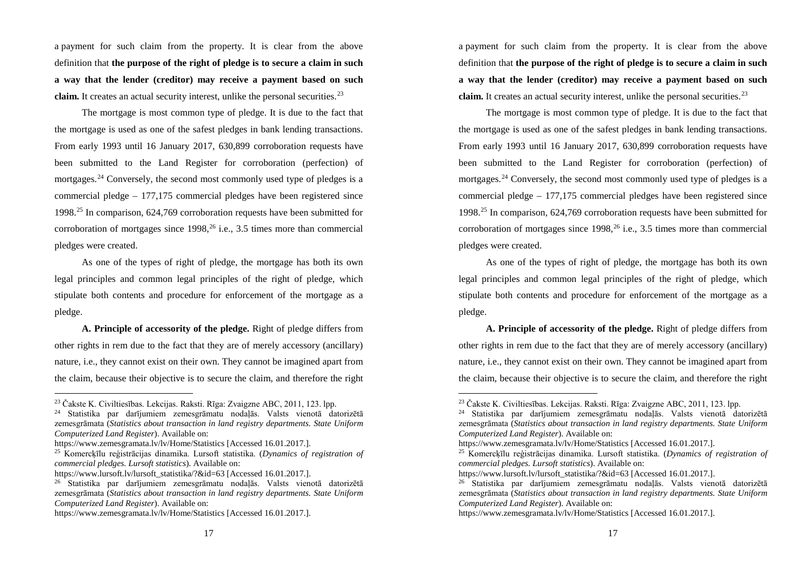a payment for such claim from the property. It is clear from the above definition that **the purpose of the right of pledge is to secure a claim in such a way that the lender (creditor) may receive a payment based on such claim.** It creates an actual security interest, unlike the personal securities. 23

The mortgage is most common type of pledge. It is due to the fact that the mortgage is used as one of the safest pledges in bank lending transactions. From early 1993 until 16 January 2017, 630,899 corroboration requests have been submitted to the Land Register for corroboration (perfection) of mortgages. <sup>24</sup> Conversely, the second most commonly used type of pledges is a commercial pledge – 177,175 commercial pledges have been registered since 1998. <sup>25</sup> In comparison, 624,769 corroboration requests have been submitted for corroboration of mortgages since 1998, <sup>26</sup> i.e., 3.5 times more than commercial pledges were created.

As one of the types of right of pledge, the mortgage has both its own legal principles and common legal principles of the right of pledge, which stipulate both contents and procedure for enforcement of the mortgage as a pledge.

**A. Principle of accessority of the pledge.** Right of pledge differs from other rights in rem due to the fact that they are of merely accessory (ancillary) nature, i.e., they cannot exist on their own. They cannot be imagined apart from the claim, because their objective is to secure the claim, and therefore the right

 <sup>23</sup> Čakste K. Civiltiesības. Lekcijas. Raksti. Rīga: Zvaigzne ABC, 2011, 123. lpp.

<sup>24</sup> Statistika par darījumiem zemesgrāmatu nodaļās. Valsts vienotā datorizētā zemesgrāmata (*Statistics about transaction in land registry departments. State Uniform Computerized Land Register*). Available on:

https://www.zemesgramata.lv/lv/Home/Statistics [Accessed 16.01.2017.].

<sup>25</sup> Komercķīlu reģistrācijas dinamika. Lursoft statistika. (*Dynamics of registration of commercial pledges. Lursoft statistics*). Available on:

https://www.lursoft.lv/lursoft\_statistika/?&id=63 [Accessed 16.01.2017.].

<sup>26</sup> Statistika par darījumiem zemesgrāmatu nodaļās. Valsts vienotā datorizētā zemesgrāmata (*Statistics about transaction in land registry departments. State Uniform Computerized Land Register*). Available on:

https://www.zemesgramata.lv/lv/Home/Statistics [Accessed 16.01.2017.].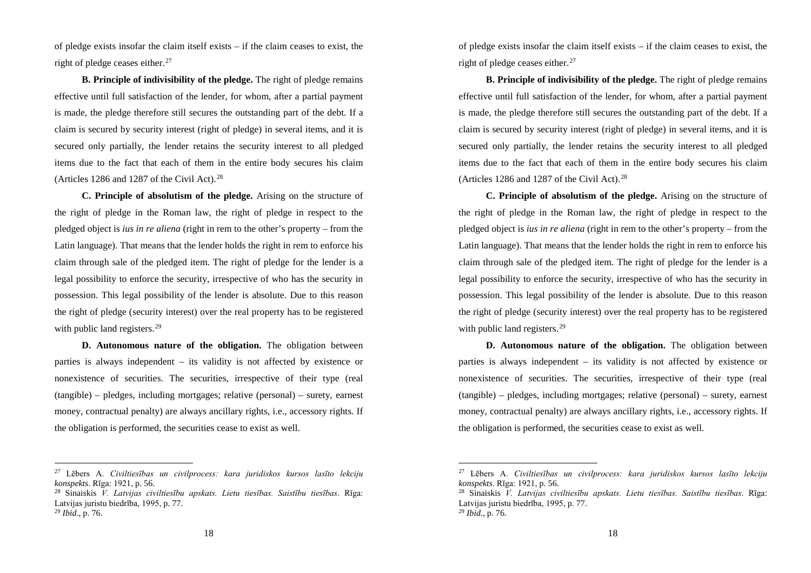of pledge exists insofar the claim itself exists – if the claim ceases to exist, the right of pledge ceases either. 27

**B. Principle of indivisibility of the pledge.** The right of pledge remains effective until full satisfaction of the lender, for whom, after a partial payment is made, the pledge therefore still secures the outstanding part of the debt. If a claim is secured by security interest (right of pledge) in several items, and it is secured only partially, the lender retains the security interest to all pledged items due to the fact that each of them in the entire body secures his claim (Articles 1286 and 1287 of the Civil Act). $28$ 

**C. Principle of absolutism of the pledge.** Arising on the structure of the right of pledge in the Roman law, the right of pledge in respect to the pledged object is *ius in re aliena* (right in rem to the other's property – from the Latin language). That means that the lender holds the right in rem to enforce his claim through sale of the pledged item. The right of pledge for the lender is a legal possibility to enforce the security, irrespective of who has the security in possession. This legal possibility of the lender is absolute. Due to this reason the right of pledge (security interest) over the real property has to be registered with public land registers.<sup>29</sup>

**D. Autonomous nature of the obligation.** The obligation between parties is always independent – its validity is not affected by existence or nonexistence of securities. The securities, irrespective of their type (real (tangible) – pledges, including mortgages; relative (personal) – surety, earnest money, contractual penalty) are always ancillary rights, i.e., accessory rights. If the obligation is performed, the securities cease to exist as well.

 <sup>27</sup> Lēbers A. *Civiltiesības un civilprocess: kara juridiskos kursos lasīto lekciju konspekts*. Rīga: 1921, p. 56.

<sup>28</sup> Sinaiskis *V. Latvijas civiltiesību apskats. Lietu tiesības. Saistību tiesības*. Rīga: Latvijas juristu biedrība, 1995, p. 77.

<sup>29</sup> *Ibid*., p. 76.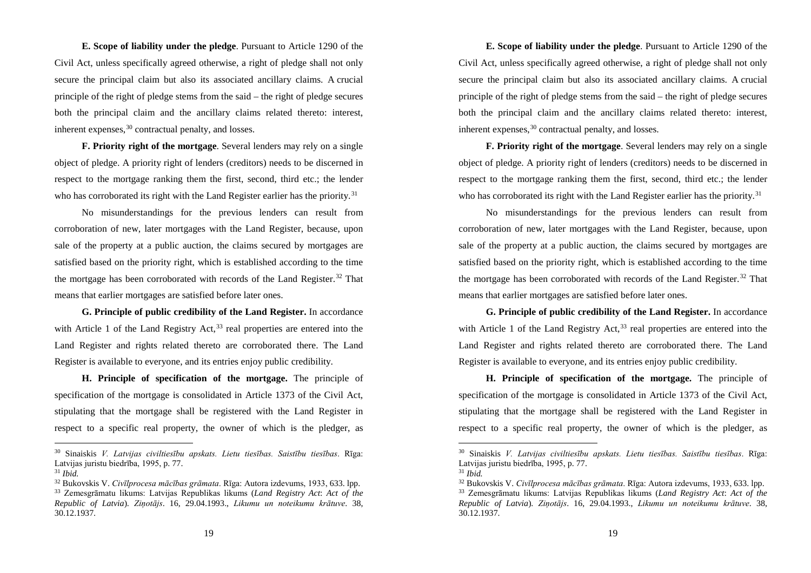**E. Scope of liability under the pledge**. Pursuant to Article 1290 of the Civil Act, unless specifically agreed otherwise, a right of pledge shall not only secure the principal claim but also its associated ancillary claims. A crucial principle of the right of pledge stems from the said – the right of pledge secures both the principal claim and the ancillary claims related thereto: interest, inherent expenses, <sup>30</sup> contractual penalty, and losses.

**F. Priority right of the mortgage**. Several lenders may rely on a single object of pledge. A priority right of lenders (creditors) needs to be discerned in respect to the mortgage ranking them the first, second, third etc.; the lender who has corroborated its right with the Land Register earlier has the priority.<sup>31</sup>

No misunderstandings for the previous lenders can result from corroboration of new, later mortgages with the Land Register, because, upon sale of the property at a public auction, the claims secured by mortgages are satisfied based on the priority right, which is established according to the time the mortgage has been corroborated with records of the Land Register.<sup>32</sup> That means that earlier mortgages are satisfied before later ones.

**G. Principle of public credibility of the Land Register.** In accordance with Article 1 of the Land Registry Act,  $33$  real properties are entered into the Land Register and rights related thereto are corroborated there. The Land Register is available to everyone, and its entries enjoy public credibility.

**H. Principle of specification of the mortgage.** The principle of specification of the mortgage is consolidated in Article 1373 of the Civil Act, stipulating that the mortgage shall be registered with the Land Register in respect to a specific real property, the owner of which is the pledger, as

 <sup>30</sup> Sinaiskis *V. Latvijas civiltiesību apskats. Lietu tiesības. Saistību tiesības*. Rīga: Latvijas juristu biedrība, 1995, p. 77.

<sup>31</sup> *Ibid.*

<sup>32</sup> Bukovskis V. *Civīlprocesa mācības grāmata*. Rīga: Autora izdevums, 1933, 633. lpp.

<sup>33</sup> Zemesgrāmatu likums: Latvijas Republikas likums (*Land Registry Act*: *Act of the Republic of Latvia*). *Ziņotājs*. 16, 29.04.1993., *Likumu un noteikumu krātuve*. 38, 30.12.1937.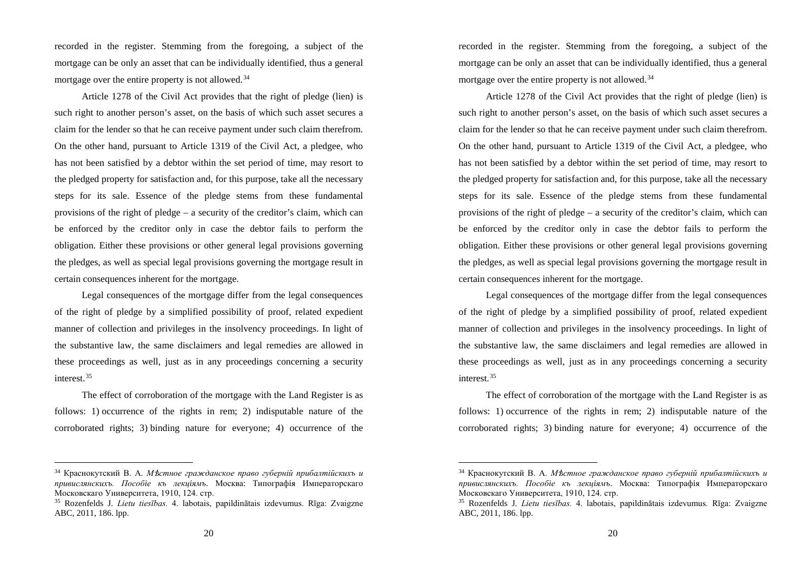recorded in the register. Stemming from the foregoing, a subject of the mortgage can be only an asset that can be individually identified, thus a general mortgage over the entire property is not allowed.<sup>34</sup>

Article 1278 of the Civil Act provides that the right of pledge (lien) is such right to another person's asset, on the basis of which such asset secures a claim for the lender so that he can receive payment under such claim therefrom. On the other hand, pursuant to Article 1319 of the Civil Act, a pledgee, who has not been satisfied by a debtor within the set period of time, may resort to the pledged property for satisfaction and, for this purpose, take all the necessary steps for its sale. Essence of the pledge stems from these fundamental provisions of the right of pledge – a security of the creditor's claim, which can be enforced by the creditor only in case the debtor fails to perform the obligation. Either these provisions or other general legal provisions governing the pledges, as well as special legal provisions governing the mortgage result in certain consequences inherent for the mortgage.

Legal consequences of the mortgage differ from the legal consequences of the right of pledge by a simplified possibility of proof, related expedient manner of collection and privileges in the insolvency proceedings. In light of the substantive law, the same disclaimers and legal remedies are allowed in these proceedings as well, just as in any proceedings concerning a security interest. 35

The effect of corroboration of the mortgage with the Land Register is as follows: 1) occurrence of the rights in rem; 2) indisputable nature of the corroborated rights; 3) binding nature for everyone; 4) occurrence of the

 <sup>34</sup> Краснокутский В. А. *М*ѣ*стное гражданское право губернiй прибалтiйскихъ и привислянскихъ. Пособiе къ лекцiямъ*. Москва: Типографiя Императорскаго Московскаго Университета, 1910, 124. стр.

<sup>35</sup> Rozenfelds J. *Lietu tiesības.* 4. labotais, papildinātais izdevumus. Rīga: Zvaigzne ABC, 2011, 186. lpp.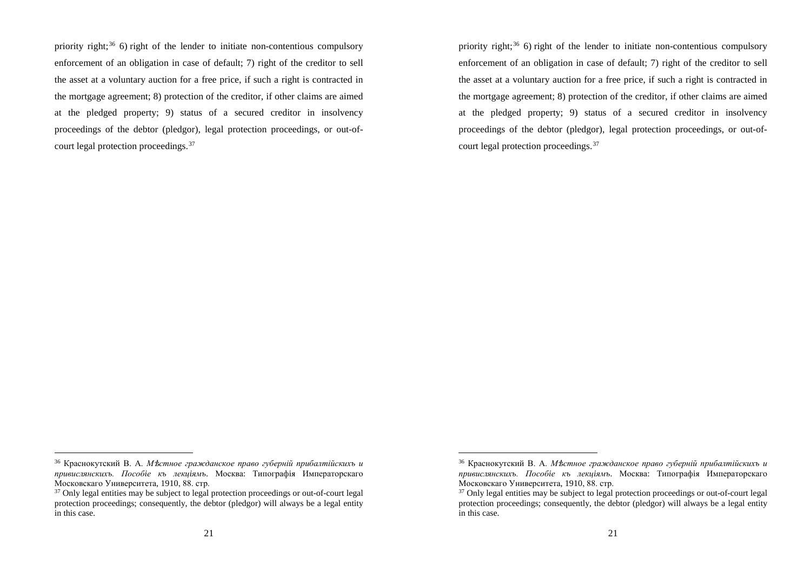priority right; <sup>36</sup> 6) right of the lender to initiate non-contentious compulsory enforcement of an obligation in case of default; 7) right of the creditor to sell the asset at a voluntary auction for a free price, if such a right is contracted in the mortgage agreement; 8) protection of the creditor, if other claims are aimed at the pledged property; 9) status of a secured creditor in insolvency proceedings of the debtor (pledgor), legal protection proceedings, or out-ofcourt legal protection proceedings. 37

 <sup>36</sup> Краснокутский В. А. *М*ѣ*стное гражданское право губернiй прибалтiйскихъ и привислянскихъ. Пособiе къ лекцiямъ*. Москва: Типографiя Императорскаго Московскаго Университета, 1910, 88. стр.

<sup>&</sup>lt;sup>37</sup> Only legal entities may be subject to legal protection proceedings or out-of-court legal protection proceedings; consequently, the debtor (pledgor) will always be a legal entity in this case.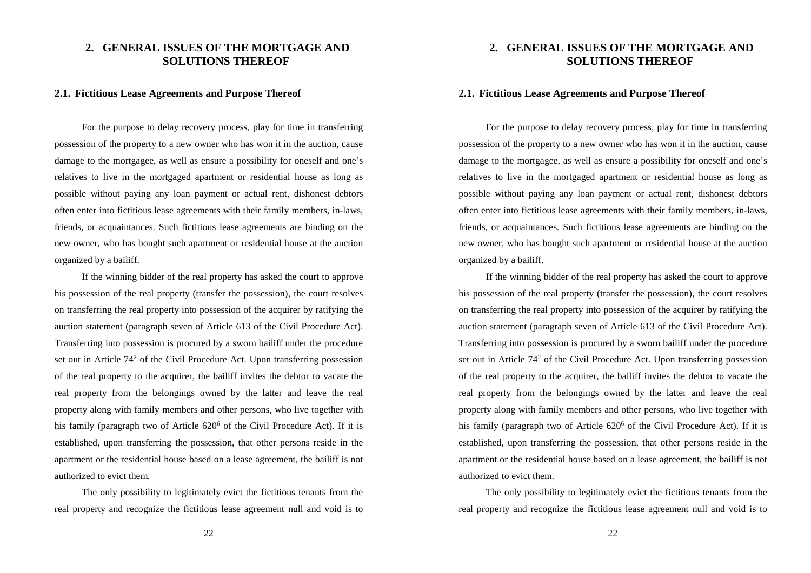## **2. GENERAL ISSUES OF THE MORTGAGE AND SOLUTIONS THEREOF**

#### **2.1. Fictitious Lease Agreements and Purpose Thereof**

For the purpose to delay recovery process, play for time in transferring possession of the property to a new owner who has won it in the auction, cause damage to the mortgagee, as well as ensure a possibility for oneself and one's relatives to live in the mortgaged apartment or residential house as long as possible without paying any loan payment or actual rent, dishonest debtors often enter into fictitious lease agreements with their family members, in-laws, friends, or acquaintances. Such fictitious lease agreements are binding on the new owner, who has bought such apartment or residential house at the auction organized by a bailiff.

If the winning bidder of the real property has asked the court to approve his possession of the real property (transfer the possession), the court resolves on transferring the real property into possession of the acquirer by ratifying the auction statement (paragraph seven of Article 613 of the Civil Procedure Act). Transferring into possession is procured by a sworn bailiff under the procedure set out in Article  $74<sup>2</sup>$  of the Civil Procedure Act. Upon transferring possession of the real property to the acquirer, the bailiff invites the debtor to vacate the real property from the belongings owned by the latter and leave the real property along with family members and other persons, who live together with his family (paragraph two of Article 620<sup>6</sup> of the Civil Procedure Act). If it is established, upon transferring the possession, that other persons reside in the apartment or the residential house based on a lease agreement, the bailiff is not authorized to evict them.

The only possibility to legitimately evict the fictitious tenants from the real property and recognize the fictitious lease agreement null and void is to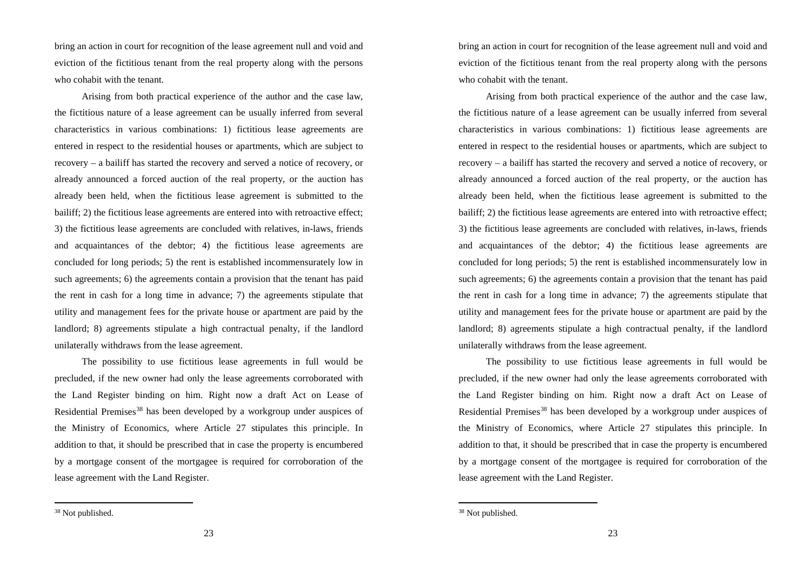bring an action in court for recognition of the lease agreement null and void and eviction of the fictitious tenant from the real property along with the persons who cohabit with the tenant.

Arising from both practical experience of the author and the case law, the fictitious nature of a lease agreement can be usually inferred from several characteristics in various combinations: 1) fictitious lease agreements are entered in respect to the residential houses or apartments, which are subject to recovery – a bailiff has started the recovery and served a notice of recovery, or already announced a forced auction of the real property, or the auction has already been held, when the fictitious lease agreement is submitted to the bailiff; 2) the fictitious lease agreements are entered into with retroactive effect; 3) the fictitious lease agreements are concluded with relatives, in-laws, friends and acquaintances of the debtor; 4) the fictitious lease agreements are concluded for long periods; 5) the rent is established incommensurately low in such agreements; 6) the agreements contain a provision that the tenant has paid the rent in cash for a long time in advance; 7) the agreements stipulate that utility and management fees for the private house or apartment are paid by the landlord; 8) agreements stipulate a high contractual penalty, if the landlord unilaterally withdraws from the lease agreement.

The possibility to use fictitious lease agreements in full would be precluded, if the new owner had only the lease agreements corroborated with the Land Register binding on him. Right now a draft Act on Lease of Residential Premises<sup>38</sup> has been developed by a workgroup under auspices of the Ministry of Economics, where Article 27 stipulates this principle. In addition to that, it should be prescribed that in case the property is encumbered by a mortgage consent of the mortgagee is required for corroboration of the lease agreement with the Land Register.

 <sup>38</sup> Not published.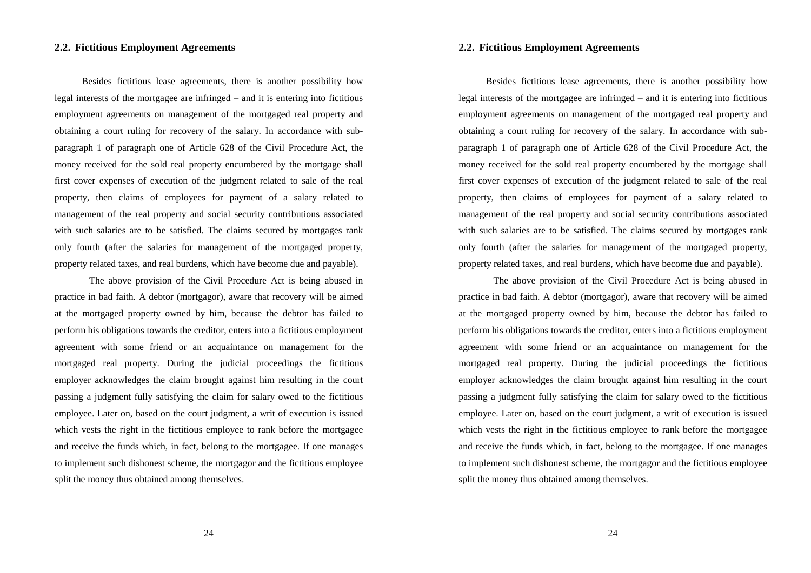## **2.2. Fictitious Employment Agreements**

Besides fictitious lease agreements, there is another possibility how legal interests of the mortgagee are infringed – and it is entering into fictitious employment agreements on management of the mortgaged real property and obtaining a court ruling for recovery of the salary. In accordance with subparagraph 1 of paragraph one of Article 628 of the Civil Procedure Act, the money received for the sold real property encumbered by the mortgage shall first cover expenses of execution of the judgment related to sale of the real property, then claims of employees for payment of a salary related to management of the real property and social security contributions associated with such salaries are to be satisfied. The claims secured by mortgages rank only fourth (after the salaries for management of the mortgaged property, property related taxes, and real burdens, which have become due and payable).

The above provision of the Civil Procedure Act is being abused in practice in bad faith. A debtor (mortgagor), aware that recovery will be aimed at the mortgaged property owned by him, because the debtor has failed to perform his obligations towards the creditor, enters into a fictitious employment agreement with some friend or an acquaintance on management for the mortgaged real property. During the judicial proceedings the fictitious employer acknowledges the claim brought against him resulting in the court passing a judgment fully satisfying the claim for salary owed to the fictitious employee. Later on, based on the court judgment, a writ of execution is issued which vests the right in the fictitious employee to rank before the mortgagee and receive the funds which, in fact, belong to the mortgagee. If one manages to implement such dishonest scheme, the mortgagor and the fictitious employee split the money thus obtained among themselves.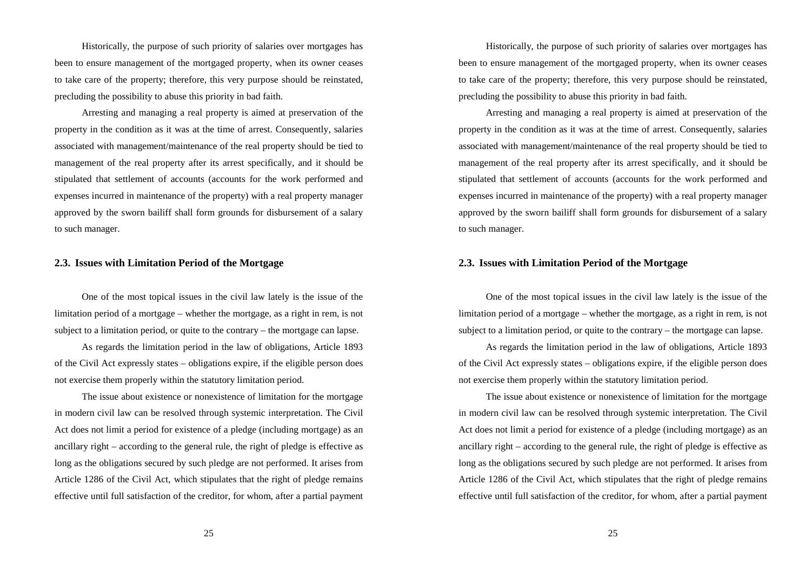Historically, the purpose of such priority of salaries over mortgages has been to ensure management of the mortgaged property, when its owner ceases to take care of the property; therefore, this very purpose should be reinstated, precluding the possibility to abuse this priority in bad faith.

Arresting and managing a real property is aimed at preservation of the property in the condition as it was at the time of arrest. Consequently, salaries associated with management/maintenance of the real property should be tied to management of the real property after its arrest specifically, and it should be stipulated that settlement of accounts (accounts for the work performed and expenses incurred in maintenance of the property) with a real property manager approved by the sworn bailiff shall form grounds for disbursement of a salary to such manager.

### **2.3. Issues with Limitation Period of the Mortgage**

One of the most topical issues in the civil law lately is the issue of the limitation period of a mortgage – whether the mortgage, as a right in rem, is not subject to a limitation period, or quite to the contrary – the mortgage can lapse.

As regards the limitation period in the law of obligations, Article 1893 of the Civil Act expressly states – obligations expire, if the eligible person does not exercise them properly within the statutory limitation period.

The issue about existence or nonexistence of limitation for the mortgage in modern civil law can be resolved through systemic interpretation. The Civil Act does not limit a period for existence of a pledge (including mortgage) as an ancillary right – according to the general rule, the right of pledge is effective as long as the obligations secured by such pledge are not performed. It arises from Article 1286 of the Civil Act, which stipulates that the right of pledge remains effective until full satisfaction of the creditor, for whom, after a partial payment

25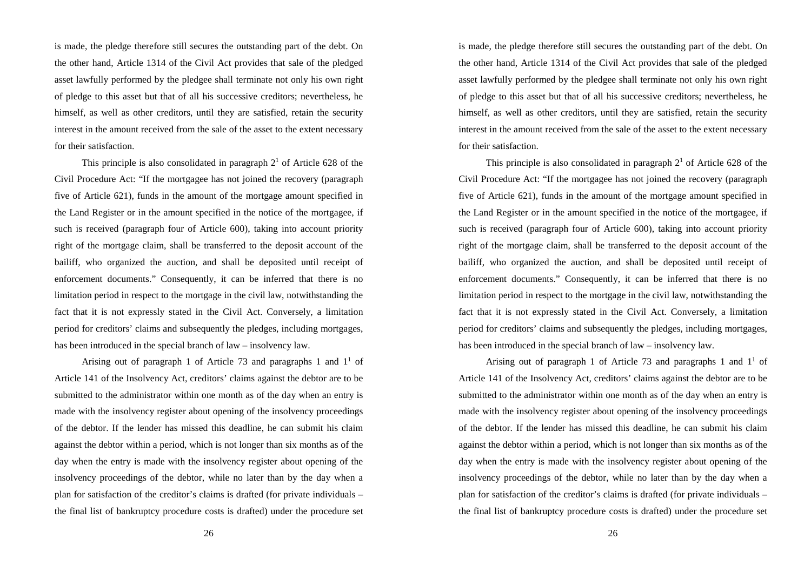is made, the pledge therefore still secures the outstanding part of the debt. On the other hand, Article 1314 of the Civil Act provides that sale of the pledged asset lawfully performed by the pledgee shall terminate not only his own right of pledge to this asset but that of all his successive creditors; nevertheless, he himself, as well as other creditors, until they are satisfied, retain the security interest in the amount received from the sale of the asset to the extent necessary for their satisfaction.

This principle is also consolidated in paragraph  $2<sup>1</sup>$  of Article 628 of the Civil Procedure Act: "If the mortgagee has not joined the recovery (paragraph five of Article 621), funds in the amount of the mortgage amount specified in the Land Register or in the amount specified in the notice of the mortgagee, if such is received (paragraph four of Article 600), taking into account priority right of the mortgage claim, shall be transferred to the deposit account of the bailiff, who organized the auction, and shall be deposited until receipt of enforcement documents." Consequently, it can be inferred that there is no limitation period in respect to the mortgage in the civil law, notwithstanding the fact that it is not expressly stated in the Civil Act. Conversely, a limitation period for creditors' claims and subsequently the pledges, including mortgages, has been introduced in the special branch of law – insolvency law.

Arising out of paragraph 1 of Article 73 and paragraphs 1 and  $1^1$  of Article 141 of the Insolvency Act, creditors' claims against the debtor are to be submitted to the administrator within one month as of the day when an entry is made with the insolvency register about opening of the insolvency proceedings of the debtor. If the lender has missed this deadline, he can submit his claim against the debtor within a period, which is not longer than six months as of the day when the entry is made with the insolvency register about opening of the insolvency proceedings of the debtor, while no later than by the day when a plan for satisfaction of the creditor's claims is drafted (for private individuals – the final list of bankruptcy procedure costs is drafted) under the procedure set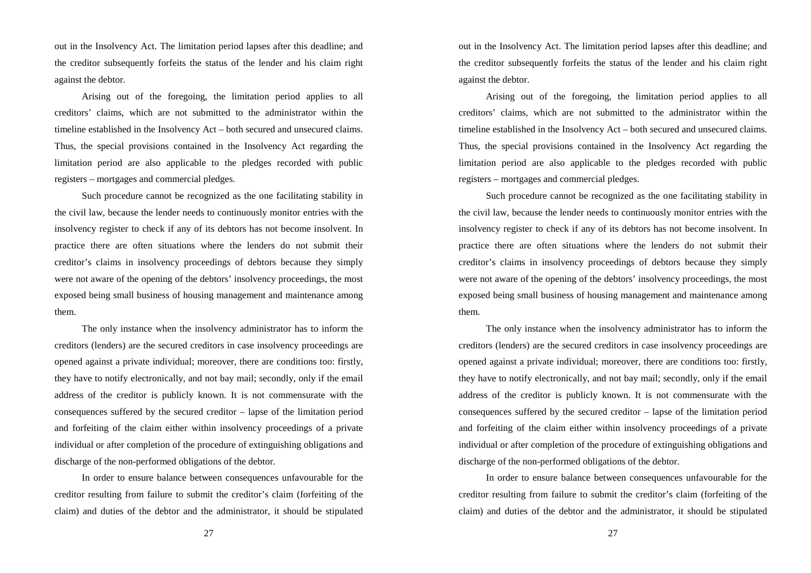out in the Insolvency Act. The limitation period lapses after this deadline; and the creditor subsequently forfeits the status of the lender and his claim right against the debtor.

Arising out of the foregoing, the limitation period applies to all creditors' claims, which are not submitted to the administrator within the timeline established in the Insolvency Act – both secured and unsecured claims. Thus, the special provisions contained in the Insolvency Act regarding the limitation period are also applicable to the pledges recorded with public registers – mortgages and commercial pledges.

Such procedure cannot be recognized as the one facilitating stability in the civil law, because the lender needs to continuously monitor entries with the insolvency register to check if any of its debtors has not become insolvent. In practice there are often situations where the lenders do not submit their creditor's claims in insolvency proceedings of debtors because they simply were not aware of the opening of the debtors' insolvency proceedings, the most exposed being small business of housing management and maintenance among them.

The only instance when the insolvency administrator has to inform the creditors (lenders) are the secured creditors in case insolvency proceedings are opened against a private individual; moreover, there are conditions too: firstly, they have to notify electronically, and not bay mail; secondly, only if the email address of the creditor is publicly known. It is not commensurate with the consequences suffered by the secured creditor – lapse of the limitation period and forfeiting of the claim either within insolvency proceedings of a private individual or after completion of the procedure of extinguishing obligations and discharge of the non-performed obligations of the debtor.

In order to ensure balance between consequences unfavourable for the creditor resulting from failure to submit the creditor's claim (forfeiting of the claim) and duties of the debtor and the administrator, it should be stipulated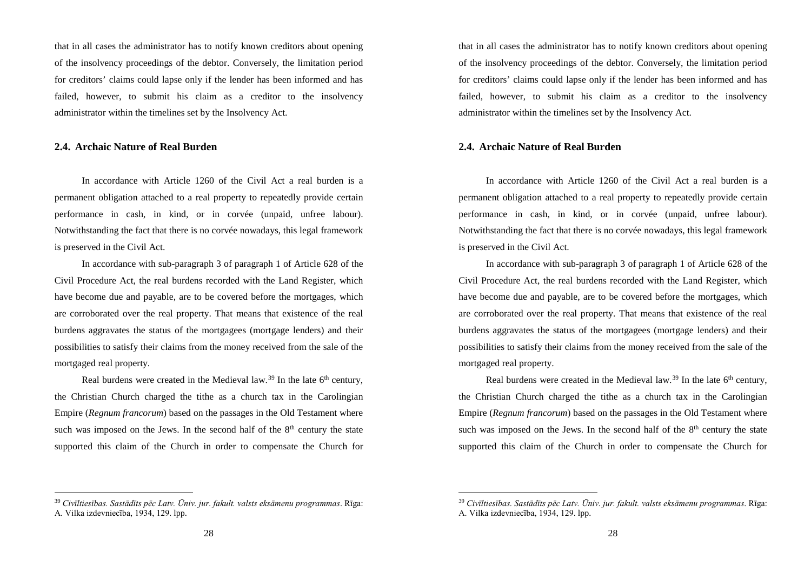that in all cases the administrator has to notify known creditors about opening of the insolvency proceedings of the debtor. Conversely, the limitation period for creditors' claims could lapse only if the lender has been informed and has failed, however, to submit his claim as a creditor to the insolvency administrator within the timelines set by the Insolvency Act.

#### **2.4. Archaic Nature of Real Burden**

In accordance with Article 1260 of the Civil Act a real burden is a permanent obligation attached to a real property to repeatedly provide certain performance in cash, in kind, or in corvée (unpaid, unfree labour). Notwithstanding the fact that there is no corvée nowadays, this legal framework is preserved in the Civil Act.

In accordance with sub-paragraph 3 of paragraph 1 of Article 628 of the Civil Procedure Act, the real burdens recorded with the Land Register, which have become due and payable, are to be covered before the mortgages, which are corroborated over the real property. That means that existence of the real burdens aggravates the status of the mortgagees (mortgage lenders) and their possibilities to satisfy their claims from the money received from the sale of the mortgaged real property.

Real burdens were created in the Medieval law.<sup>39</sup> In the late  $6<sup>th</sup>$  century, the Christian Church charged the tithe as a church tax in the Carolingian Empire (*Regnum francorum*) based on the passages in the Old Testament where such was imposed on the Jews. In the second half of the  $8<sup>th</sup>$  century the state supported this claim of the Church in order to compensate the Church for

 <sup>39</sup> *Civīltiesības. Sastādīts pēc Latv. Ūniv. jur. fakult. valsts eksāmenu programmas*. Rīga: A. Vilka izdevniecība, 1934, 129. lpp.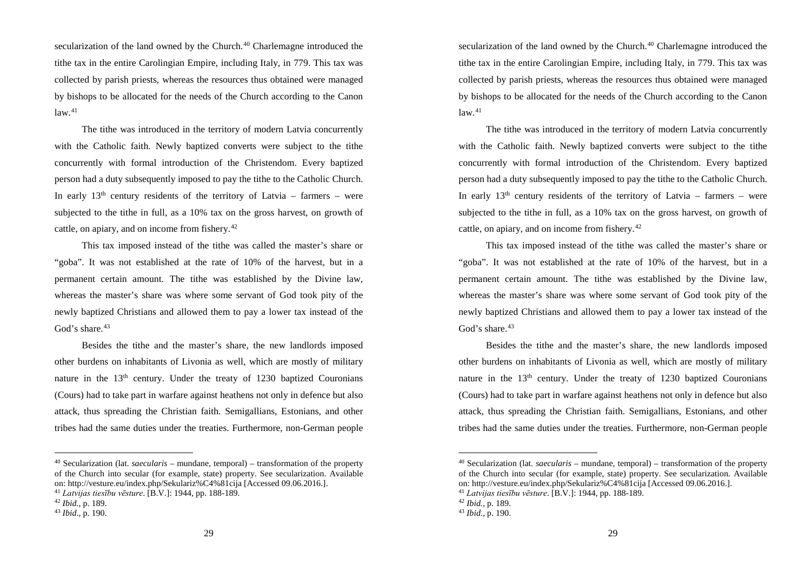secularization of the land owned by the Church.<sup>40</sup> Charlemagne introduced the tithe tax in the entire Carolingian Empire, including Italy, in 779. This tax was collected by parish priests, whereas the resources thus obtained were managed by bishops to be allocated for the needs of the Church according to the Canon law. 41

The tithe was introduced in the territory of modern Latvia concurrently with the Catholic faith. Newly baptized converts were subject to the tithe concurrently with formal introduction of the Christendom. Every baptized person had a duty subsequently imposed to pay the tithe to the Catholic Church. In early  $13<sup>th</sup>$  century residents of the territory of Latvia – farmers – were subjected to the tithe in full, as a 10% tax on the gross harvest, on growth of cattle, on apiary, and on income from fishery.<sup>42</sup>

This tax imposed instead of the tithe was called the master's share or "goba". It was not established at the rate of 10% of the harvest, but in a permanent certain amount. The tithe was established by the Divine law, whereas the master's share was where some servant of God took pity of the newly baptized Christians and allowed them to pay a lower tax instead of the God's share.<sup>43</sup>

Besides the tithe and the master's share, the new landlords imposed other burdens on inhabitants of Livonia as well, which are mostly of military nature in the 13<sup>th</sup> century. Under the treaty of 1230 baptized Couronians (Cours) had to take part in warfare against heathens not only in defence but also attack, thus spreading the Christian faith. Semigallians, Estonians, and other tribes had the same duties under the treaties. Furthermore, non-German people

 <sup>40</sup> Secularization (lat. *saecularis* – mundane, temporal) – transformation of the property of the Church into secular (for example, state) property. See secularization. Available on: http://vesture.eu/index.php/Sekulariz%C4%81cija [Accessed 09.06.2016.].

<sup>41</sup> *Latvijas tiesību vēsture*. [B.V.]: 1944, pp. 188-189.

<sup>42</sup> *Ibid.*, p. 189.

<sup>43</sup> *Ibid*., p. 190.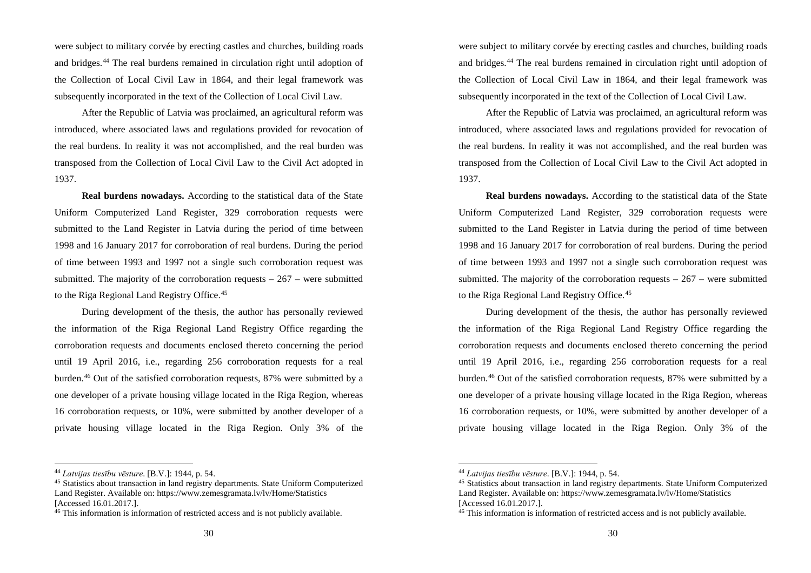were subject to military corvée by erecting castles and churches, building roads and bridges. <sup>44</sup> The real burdens remained in circulation right until adoption of the Collection of Local Civil Law in 1864, and their legal framework was subsequently incorporated in the text of the Collection of Local Civil Law.

After the Republic of Latvia was proclaimed, an agricultural reform was introduced, where associated laws and regulations provided for revocation of the real burdens. In reality it was not accomplished, and the real burden was transposed from the Collection of Local Civil Law to the Civil Act adopted in 1937.

**Real burdens nowadays.** According to the statistical data of the State Uniform Computerized Land Register, 329 corroboration requests were submitted to the Land Register in Latvia during the period of time between 1998 and 16 January 2017 for corroboration of real burdens. During the period of time between 1993 and 1997 not a single such corroboration request was submitted. The majority of the corroboration requests  $-267$  – were submitted to the Riga Regional Land Registry Office. 45

During development of the thesis, the author has personally reviewed the information of the Riga Regional Land Registry Office regarding the corroboration requests and documents enclosed thereto concerning the period until 19 April 2016, i.e., regarding 256 corroboration requests for a real burden. <sup>46</sup> Out of the satisfied corroboration requests, 87% were submitted by a one developer of a private housing village located in the Riga Region, whereas 16 corroboration requests, or 10%, were submitted by another developer of a private housing village located in the Riga Region. Only 3% of the

 <sup>44</sup> *Latvijas tiesību vēsture*. [B.V.]: 1944, p. 54.

<sup>45</sup> Statistics about transaction in land registry departments. State Uniform Computerized Land Register. Available on: https://www.zemesgramata.lv/lv/Home/Statistics [Accessed 16.01.2017.].

<sup>46</sup> This information is information of restricted access and is not publicly available.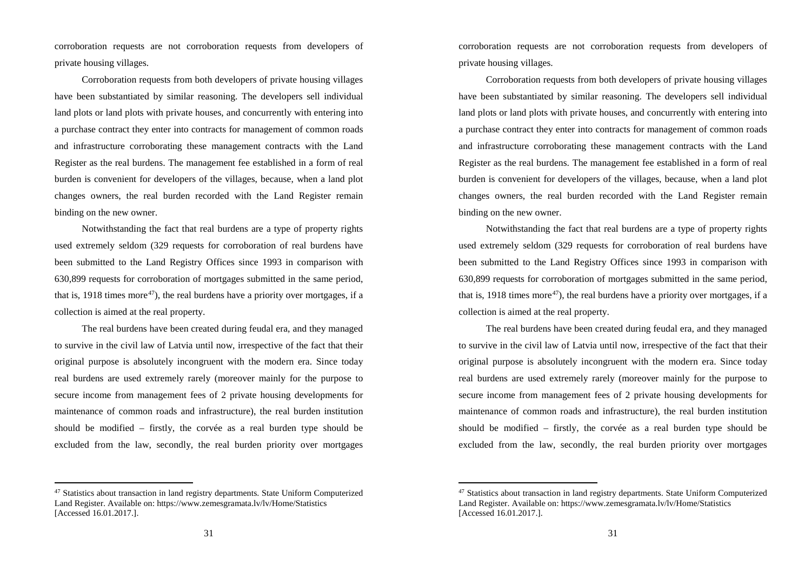corroboration requests are not corroboration requests from developers of private housing villages.

Corroboration requests from both developers of private housing villages have been substantiated by similar reasoning. The developers sell individual land plots or land plots with private houses, and concurrently with entering into a purchase contract they enter into contracts for management of common roads and infrastructure corroborating these management contracts with the Land Register as the real burdens. The management fee established in a form of real burden is convenient for developers of the villages, because, when a land plot changes owners, the real burden recorded with the Land Register remain binding on the new owner.

Notwithstanding the fact that real burdens are a type of property rights used extremely seldom (329 requests for corroboration of real burdens have been submitted to the Land Registry Offices since 1993 in comparison with 630,899 requests for corroboration of mortgages submitted in the same period, that is, 1918 times more<sup>47</sup>), the real burdens have a priority over mortgages, if a collection is aimed at the real property.

The real burdens have been created during feudal era, and they managed to survive in the civil law of Latvia until now, irrespective of the fact that their original purpose is absolutely incongruent with the modern era. Since today real burdens are used extremely rarely (moreover mainly for the purpose to secure income from management fees of 2 private housing developments for maintenance of common roads and infrastructure), the real burden institution should be modified – firstly, the corvée as a real burden type should be excluded from the law, secondly, the real burden priority over mortgages

 <sup>47</sup> Statistics about transaction in land registry departments. State Uniform Computerized Land Register. Available on: https://www.zemesgramata.lv/lv/Home/Statistics [Accessed 16.01.2017.].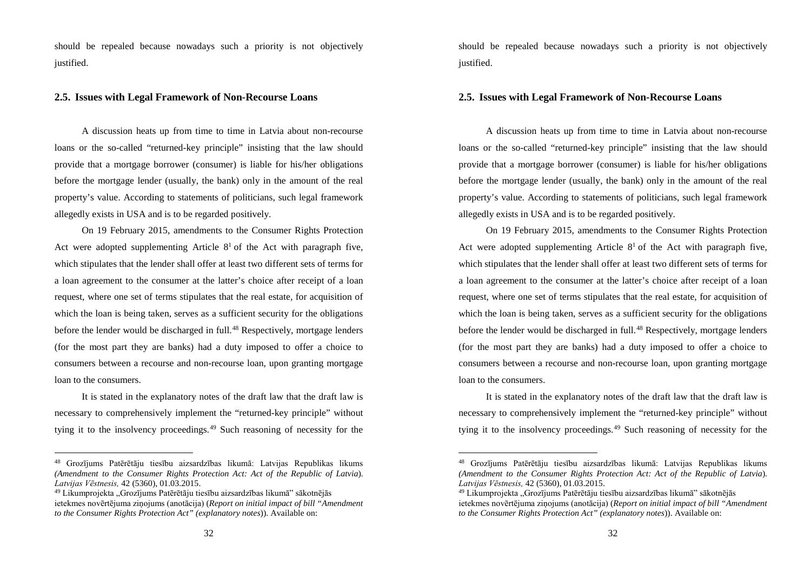should be repealed because nowadays such a priority is not objectively justified.

### **2.5. Issues with Legal Framework of Non-Recourse Loans**

A discussion heats up from time to time in Latvia about non-recourse loans or the so-called "returned-key principle" insisting that the law should provide that a mortgage borrower (consumer) is liable for his/her obligations before the mortgage lender (usually, the bank) only in the amount of the real property's value. According to statements of politicians, such legal framework allegedly exists in USA and is to be regarded positively.

On 19 February 2015, amendments to the Consumer Rights Protection Act were adopted supplementing Article  $8<sup>1</sup>$  of the Act with paragraph five, which stipulates that the lender shall offer at least two different sets of terms for a loan agreement to the consumer at the latter's choice after receipt of a loan request, where one set of terms stipulates that the real estate, for acquisition of which the loan is being taken, serves as a sufficient security for the obligations before the lender would be discharged in full. <sup>48</sup> Respectively, mortgage lenders (for the most part they are banks) had a duty imposed to offer a choice to consumers between a recourse and non-recourse loan, upon granting mortgage loan to the consumers.

It is stated in the explanatory notes of the draft law that the draft law is necessary to comprehensively implement the "returned-key principle" without tying it to the insolvency proceedings. <sup>49</sup> Such reasoning of necessity for the

 <sup>48</sup> Grozījums Patērētāju tiesību aizsardzības likumā: Latvijas Republikas likums *(Amendment to the Consumer Rights Protection Act: Act of the Republic of Latvia*). *Latvijas Vēstnesis,* 42 (5360), 01.03.2015.

<sup>&</sup>lt;sup>49</sup> Likumprojekta "Grozījums Patērētāju tiesību aizsardzības likumā" sākotnējās ietekmes novērtējuma ziņojums (anotācija) (*Report on initial impact of bill "Amendment to the Consumer Rights Protection Act" (explanatory notes*)). Available on: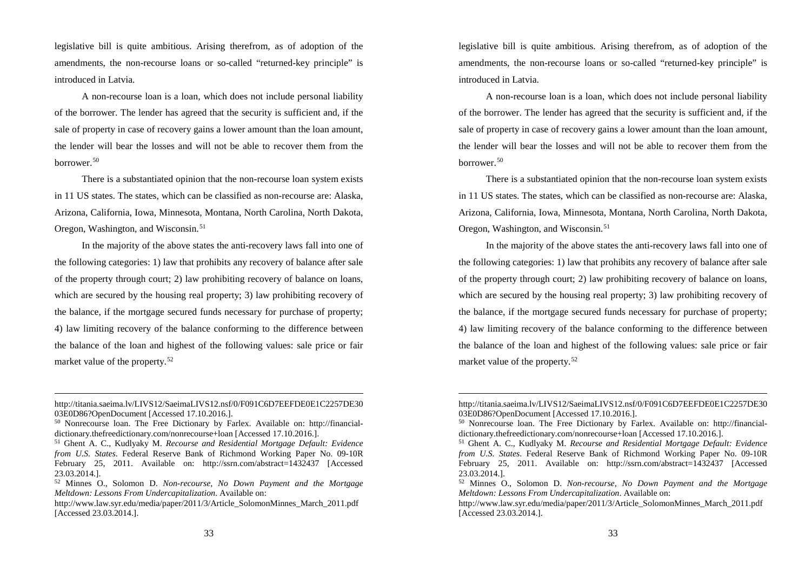legislative bill is quite ambitious. Arising therefrom, as of adoption of the amendments, the non-recourse loans or so-called "returned-key principle" is introduced in Latvia.

A non-recourse loan is a loan, which does not include personal liability of the borrower. The lender has agreed that the security is sufficient and, if the sale of property in case of recovery gains a lower amount than the loan amount, the lender will bear the losses and will not be able to recover them from the borrower. 50

There is a substantiated opinion that the non-recourse loan system exists in 11 US states. The states, which can be classified as non-recourse are: Alaska, Arizona, California, Iowa, Minnesota, Montana, North Carolina, North Dakota, Oregon, Washington, and Wisconsin. 51

In the majority of the above states the anti-recovery laws fall into one of the following categories: 1) law that prohibits any recovery of balance after sale of the property through court; 2) law prohibiting recovery of balance on loans, which are secured by the housing real property; 3) law prohibiting recovery of the balance, if the mortgage secured funds necessary for purchase of property; 4) law limiting recovery of the balance conforming to the difference between the balance of the loan and highest of the following values: sale price or fair market value of the property. 52

http://titania.saeima.lv/LIVS12/SaeimaLIVS12.nsf/0/F091C6D7EEFDE0E1C2257DE30 03E0D86?OpenDocument [Accessed 17.10.2016.].

<sup>50</sup> Nonrecourse loan. The Free Dictionary by Farlex. Available on: http://financialdictionary.thefreedictionary.com/nonrecourse+loan [Accessed 17.10.2016.].

<sup>51</sup> Ghent A. C., Kudlyaky M. *Recourse and Residential Mortgage Default: Evidence from U.S. States*. Federal Reserve Bank of Richmond Working Paper No. 09-10R February 25, 2011. Available on: http://ssrn.com/abstract=1432437 [Accessed 23.03.2014.].

<sup>52</sup> Minnes O., Solomon D. *Non-recourse, No Down Payment and the Mortgage Meltdown: Lessons From Undercapitalization*. Available on:

http://www.law.syr.edu/media/paper/2011/3/Article\_SolomonMinnes\_March\_2011.pdf [Accessed 23.03.2014.].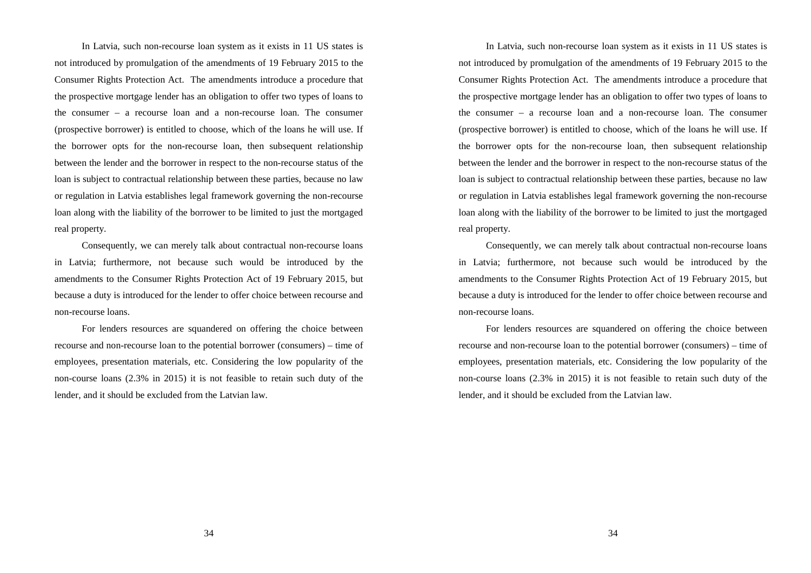In Latvia, such non-recourse loan system as it exists in 11 US states is not introduced by promulgation of the amendments of 19 February 2015 to the Consumer Rights Protection Act. The amendments introduce a procedure that the prospective mortgage lender has an obligation to offer two types of loans to the consumer – a recourse loan and a non-recourse loan. The consumer (prospective borrower) is entitled to choose, which of the loans he will use. If the borrower opts for the non-recourse loan, then subsequent relationship between the lender and the borrower in respect to the non-recourse status of the loan is subject to contractual relationship between these parties, because no law or regulation in Latvia establishes legal framework governing the non-recourse loan along with the liability of the borrower to be limited to just the mortgaged real property.

Consequently, we can merely talk about contractual non-recourse loans in Latvia; furthermore, not because such would be introduced by the amendments to the Consumer Rights Protection Act of 19 February 2015, but because a duty is introduced for the lender to offer choice between recourse and non-recourse loans.

For lenders resources are squandered on offering the choice between recourse and non-recourse loan to the potential borrower (consumers) – time of employees, presentation materials, etc. Considering the low popularity of the non-course loans (2.3% in 2015) it is not feasible to retain such duty of the lender, and it should be excluded from the Latvian law.

34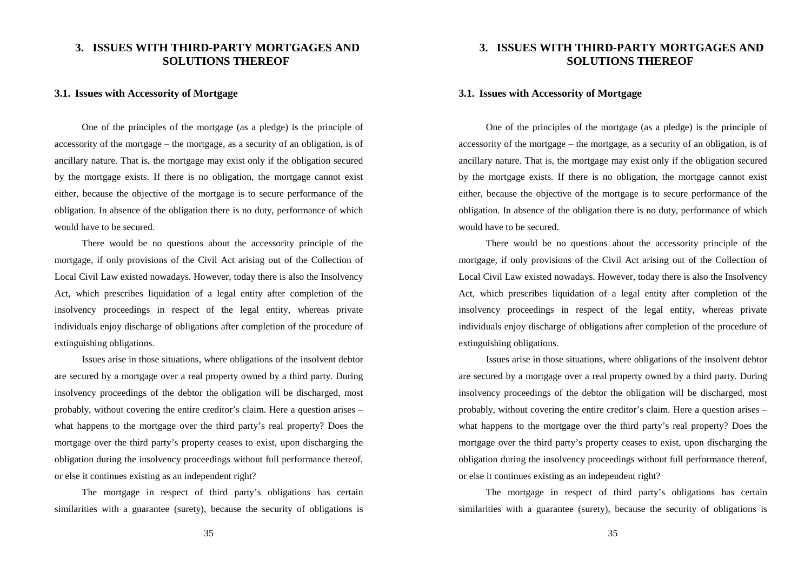## **3. ISSUES WITH THIRD-PARTY MORTGAGES AND SOLUTIONS THEREOF**

#### **3.1. Issues with Accessority of Mortgage**

One of the principles of the mortgage (as a pledge) is the principle of accessority of the mortgage – the mortgage, as a security of an obligation, is of ancillary nature. That is, the mortgage may exist only if the obligation secured by the mortgage exists. If there is no obligation, the mortgage cannot exist either, because the objective of the mortgage is to secure performance of the obligation. In absence of the obligation there is no duty, performance of which would have to be secured.

There would be no questions about the accessority principle of the mortgage, if only provisions of the Civil Act arising out of the Collection of Local Civil Law existed nowadays. However, today there is also the Insolvency Act, which prescribes liquidation of a legal entity after completion of the insolvency proceedings in respect of the legal entity, whereas private individuals enjoy discharge of obligations after completion of the procedure of extinguishing obligations.

Issues arise in those situations, where obligations of the insolvent debtor are secured by a mortgage over a real property owned by a third party. During insolvency proceedings of the debtor the obligation will be discharged, most probably, without covering the entire creditor's claim. Here a question arises – what happens to the mortgage over the third party's real property? Does the mortgage over the third party's property ceases to exist, upon discharging the obligation during the insolvency proceedings without full performance thereof, or else it continues existing as an independent right?

The mortgage in respect of third party's obligations has certain similarities with a guarantee (surety), because the security of obligations is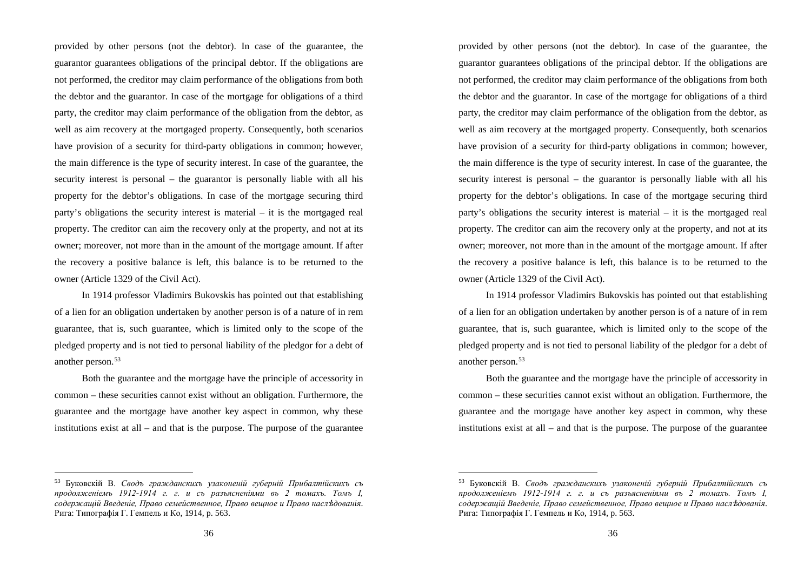provided by other persons (not the debtor). In case of the guarantee, the guarantor guarantees obligations of the principal debtor. If the obligations are not performed, the creditor may claim performance of the obligations from both the debtor and the guarantor. In case of the mortgage for obligations of a third party, the creditor may claim performance of the obligation from the debtor, as well as aim recovery at the mortgaged property. Consequently, both scenarios have provision of a security for third-party obligations in common; however, the main difference is the type of security interest. In case of the guarantee, the security interest is personal – the guarantor is personally liable with all his property for the debtor's obligations. In case of the mortgage securing third party's obligations the security interest is material – it is the mortgaged real property. The creditor can aim the recovery only at the property, and not at its owner; moreover, not more than in the amount of the mortgage amount. If after the recovery a positive balance is left, this balance is to be returned to the owner (Article 1329 of the Civil Act).

In 1914 professor Vladimirs Bukovskis has pointed out that establishing of a lien for an obligation undertaken by another person is of a nature of in rem guarantee, that is, such guarantee, which is limited only to the scope of the pledged property and is not tied to personal liability of the pledgor for a debt of another person. 53

Both the guarantee and the mortgage have the principle of accessority in common – these securities cannot exist without an obligation. Furthermore, the guarantee and the mortgage have another key aspect in common, why these institutions exist at all – and that is the purpose. The purpose of the guarantee

 <sup>53</sup> Буковскiй В. *Сводъ гражданскихъ узаконеній губерній Прибалтійскихъ съ продолженiемъ 1912-1914 г. г. и съ разъясненiями въ 2 томахъ. Томъ I, содержащiй Введенiе, Право семейственное, Право вещное и Право насл*ѣ*дованiя*. Рига: Типографiя Г. Гемпель и Ко, 1914, p. 563.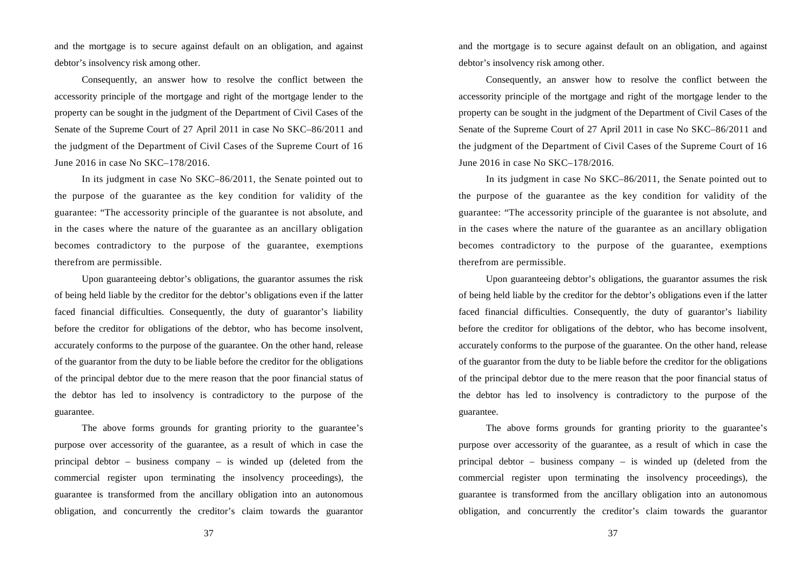and the mortgage is to secure against default on an obligation, and against debtor's insolvency risk among other.

Consequently, an answer how to resolve the conflict between the accessority principle of the mortgage and right of the mortgage lender to the property can be sought in the judgment of the Department of Civil Cases of the Senate of the Supreme Court of 27 April 2011 in case No SKC–86/2011 and the judgment of the Department of Civil Cases of the Supreme Court of 16 June 2016 in case No SKC–178/2016.

In its judgment in case No SKC–86/2011, the Senate pointed out to the purpose of the guarantee as the key condition for validity of the guarantee: "The accessority principle of the guarantee is not absolute, and in the cases where the nature of the guarantee as an ancillary obligation becomes contradictory to the purpose of the guarantee, exemptions therefrom are permissible.

Upon guaranteeing debtor's obligations, the guarantor assumes the risk of being held liable by the creditor for the debtor's obligations even if the latter faced financial difficulties. Consequently, the duty of guarantor's liability before the creditor for obligations of the debtor, who has become insolvent, accurately conforms to the purpose of the guarantee. On the other hand, release of the guarantor from the duty to be liable before the creditor for the obligations of the principal debtor due to the mere reason that the poor financial status of the debtor has led to insolvency is contradictory to the purpose of the guarantee.

The above forms grounds for granting priority to the guarantee's purpose over accessority of the guarantee, as a result of which in case the principal debtor – business company – is winded up (deleted from the commercial register upon terminating the insolvency proceedings), the guarantee is transformed from the ancillary obligation into an autonomous obligation, and concurrently the creditor's claim towards the guarantor

37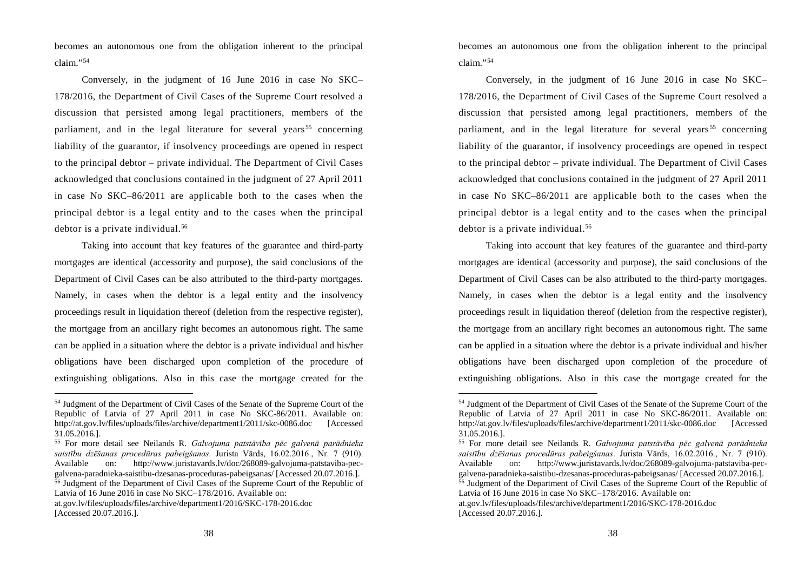becomes an autonomous one from the obligation inherent to the principal claim."54

Conversely, in the judgment of 16 June 2016 in case No SKC– 178/2016, the Department of Civil Cases of the Supreme Court resolved a discussion that persisted among legal practitioners, members of the parliament, and in the legal literature for several years<sup>55</sup> concerning liability of the guarantor, if insolvency proceedings are opened in respect to the principal debtor – private individual. The Department of Civil Cases acknowledged that conclusions contained in the judgment of 27 April 2011 in case No SKC–86/2011 are applicable both to the cases when the principal debtor is a legal entity and to the cases when the principal debtor is a private individual. 56

Taking into account that key features of the guarantee and third-party mortgages are identical (accessority and purpose), the said conclusions of the Department of Civil Cases can be also attributed to the third-party mortgages. Namely, in cases when the debtor is a legal entity and the insolvency proceedings result in liquidation thereof (deletion from the respective register), the mortgage from an ancillary right becomes an autonomous right. The same can be applied in a situation where the debtor is a private individual and his/her obligations have been discharged upon completion of the procedure of extinguishing obligations. Also in this case the mortgage created for the

 <sup>54</sup> Judgment of the Department of Civil Cases of the Senate of the Supreme Court of the Republic of Latvia of 27 April 2011 in case No SKC-86/2011. Available on: http://at.gov.lv/files/uploads/files/archive/department1/2011/skc-0086.doc [Accessed] 31.05.2016.].

<sup>55</sup> For more detail see Neilands R. *Galvojuma patstāvība pēc galvenā parādnieka saistību dzēšanas procedūras pabeigšanas*. Jurista Vārds, 16.02.2016., Nr. 7 (910). Available on: http://www.juristavards.lv/doc/268089-galvojuma-patstaviba-pecgalvena-paradnieka-saistibu-dzesanas-proceduras-pabeigsanas/ [Accessed 20.07.2016.].

 $\frac{56}{6}$  Judgment of the Department of Civil Cases of the Supreme Court of the Republic of Latvia of 16 June 2016 in case No SKC–178/2016. Available on:

at.gov.lv/files/uploads/files/archive/department1/2016/SKC-178-2016.doc [Accessed 20.07.2016.].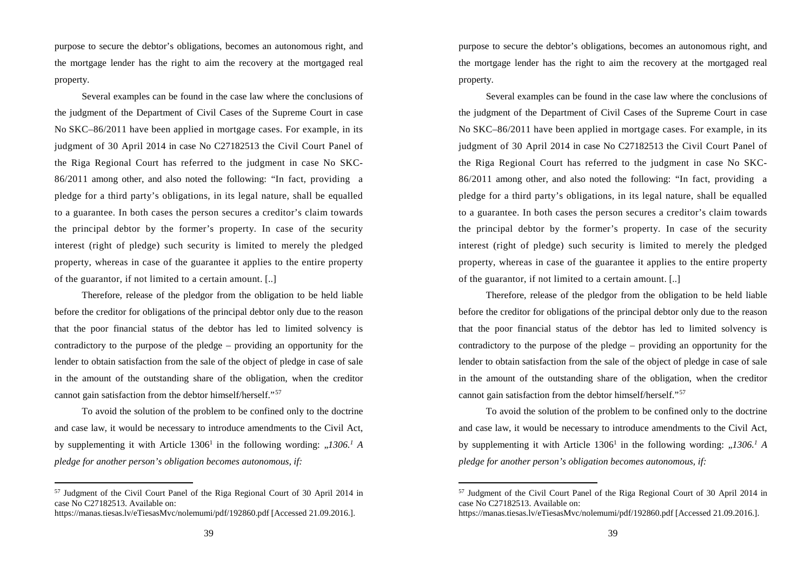purpose to secure the debtor's obligations, becomes an autonomous right, and the mortgage lender has the right to aim the recovery at the mortgaged real property.

Several examples can be found in the case law where the conclusions of the judgment of the Department of Civil Cases of the Supreme Court in case No SKC–86/2011 have been applied in mortgage cases. For example, in its judgment of 30 April 2014 in case No C27182513 the Civil Court Panel of the Riga Regional Court has referred to the judgment in case No SKC-86/2011 among other, and also noted the following: "In fact, providing a pledge for a third party's obligations, in its legal nature, shall be equalled to a guarantee. In both cases the person secures a creditor's claim towards the principal debtor by the former's property. In case of the security interest (right of pledge) such security is limited to merely the pledged property, whereas in case of the guarantee it applies to the entire property of the guarantor, if not limited to a certain amount. [..]

Therefore, release of the pledgor from the obligation to be held liable before the creditor for obligations of the principal debtor only due to the reason that the poor financial status of the debtor has led to limited solvency is contradictory to the purpose of the pledge – providing an opportunity for the lender to obtain satisfaction from the sale of the object of pledge in case of sale in the amount of the outstanding share of the obligation, when the creditor cannot gain satisfaction from the debtor himself/herself."57

To avoid the solution of the problem to be confined only to the doctrine and case law, it would be necessary to introduce amendments to the Civil Act, by supplementing it with Article  $1306<sup>1</sup>$  in the following wording:  $\frac{1306<sup>1</sup>}{A}$ *pledge for another person's obligation becomes autonomous, if:*

 <sup>57</sup> Judgment of the Civil Court Panel of the Riga Regional Court of 30 April 2014 in case No C27182513. Available on:

https://manas.tiesas.lv/eTiesasMvc/nolemumi/pdf/192860.pdf [Accessed 21.09.2016.].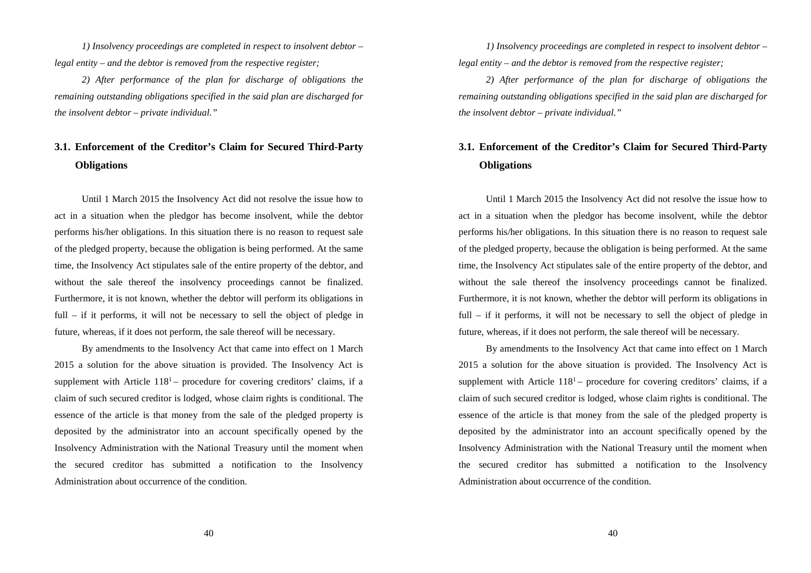*1) Insolvency proceedings are completed in respect to insolvent debtor – legal entity – and the debtor is removed from the respective register;*

*2) After performance of the plan for discharge of obligations the remaining outstanding obligations specified in the said plan are discharged for the insolvent debtor – private individual."*

## **3.1. Enforcement of the Creditor's Claim for Secured Third-Party Obligations**

Until 1 March 2015 the Insolvency Act did not resolve the issue how to act in a situation when the pledgor has become insolvent, while the debtor performs his/her obligations. In this situation there is no reason to request sale of the pledged property, because the obligation is being performed. At the same time, the Insolvency Act stipulates sale of the entire property of the debtor, and without the sale thereof the insolvency proceedings cannot be finalized. Furthermore, it is not known, whether the debtor will perform its obligations in full – if it performs, it will not be necessary to sell the object of pledge in future, whereas, if it does not perform, the sale thereof will be necessary.

By amendments to the Insolvency Act that came into effect on 1 March 2015 a solution for the above situation is provided. The Insolvency Act is supplement with Article  $118<sup>1</sup>$  – procedure for covering creditors' claims, if a claim of such secured creditor is lodged, whose claim rights is conditional. The essence of the article is that money from the sale of the pledged property is deposited by the administrator into an account specifically opened by the Insolvency Administration with the National Treasury until the moment when the secured creditor has submitted a notification to the Insolvency Administration about occurrence of the condition.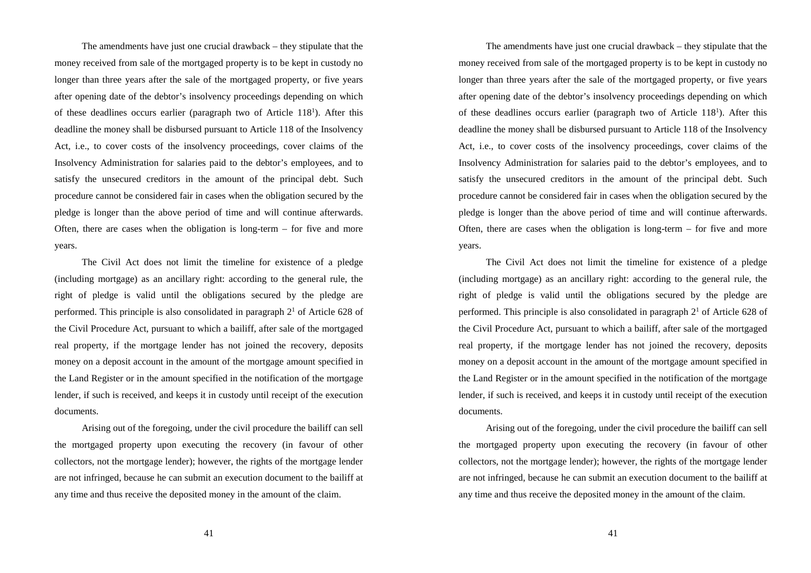The amendments have just one crucial drawback – they stipulate that the money received from sale of the mortgaged property is to be kept in custody no longer than three years after the sale of the mortgaged property, or five years after opening date of the debtor's insolvency proceedings depending on which of these deadlines occurs earlier (paragraph two of Article  $118<sup>1</sup>$ ). After this deadline the money shall be disbursed pursuant to Article 118 of the Insolvency Act, i.e., to cover costs of the insolvency proceedings, cover claims of the Insolvency Administration for salaries paid to the debtor's employees, and to satisfy the unsecured creditors in the amount of the principal debt. Such procedure cannot be considered fair in cases when the obligation secured by the pledge is longer than the above period of time and will continue afterwards. Often, there are cases when the obligation is long-term – for five and more years.

The Civil Act does not limit the timeline for existence of a pledge (including mortgage) as an ancillary right: according to the general rule, the right of pledge is valid until the obligations secured by the pledge are performed. This principle is also consolidated in paragraph  $2<sup>1</sup>$  of Article 628 of the Civil Procedure Act, pursuant to which a bailiff, after sale of the mortgaged real property, if the mortgage lender has not joined the recovery, deposits money on a deposit account in the amount of the mortgage amount specified in the Land Register or in the amount specified in the notification of the mortgage lender, if such is received, and keeps it in custody until receipt of the execution documents.

Arising out of the foregoing, under the civil procedure the bailiff can sell the mortgaged property upon executing the recovery (in favour of other collectors, not the mortgage lender); however, the rights of the mortgage lender are not infringed, because he can submit an execution document to the bailiff at any time and thus receive the deposited money in the amount of the claim.

41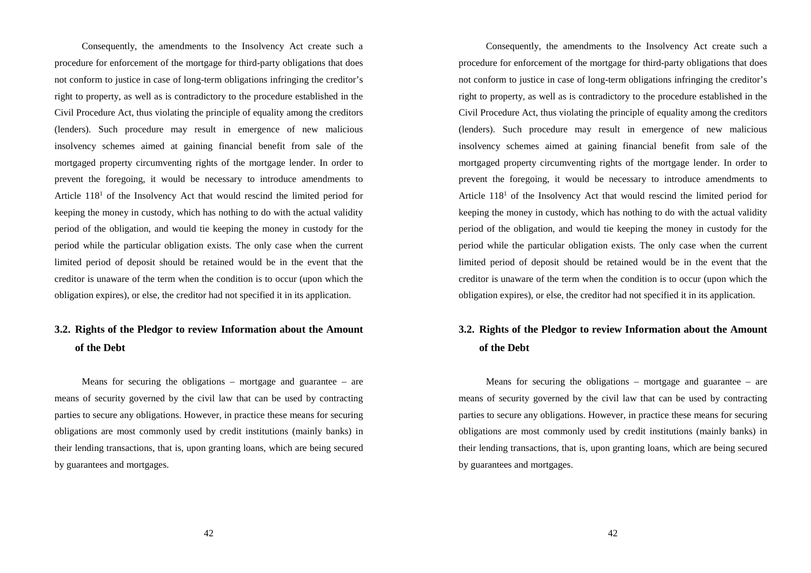Consequently, the amendments to the Insolvency Act create such a procedure for enforcement of the mortgage for third-party obligations that does not conform to justice in case of long-term obligations infringing the creditor's right to property, as well as is contradictory to the procedure established in the Civil Procedure Act, thus violating the principle of equality among the creditors (lenders). Such procedure may result in emergence of new malicious insolvency schemes aimed at gaining financial benefit from sale of the mortgaged property circumventing rights of the mortgage lender. In order to prevent the foregoing, it would be necessary to introduce amendments to Article  $118<sup>1</sup>$  of the Insolvency Act that would rescind the limited period for keeping the money in custody, which has nothing to do with the actual validity period of the obligation, and would tie keeping the money in custody for the period while the particular obligation exists. The only case when the current limited period of deposit should be retained would be in the event that the creditor is unaware of the term when the condition is to occur (upon which the obligation expires), or else, the creditor had not specified it in its application.

## **3.2. Rights of the Pledgor to review Information about the Amount of the Debt**

Means for securing the obligations – mortgage and guarantee – are means of security governed by the civil law that can be used by contracting parties to secure any obligations. However, in practice these means for securing obligations are most commonly used by credit institutions (mainly banks) in their lending transactions, that is, upon granting loans, which are being secured by guarantees and mortgages.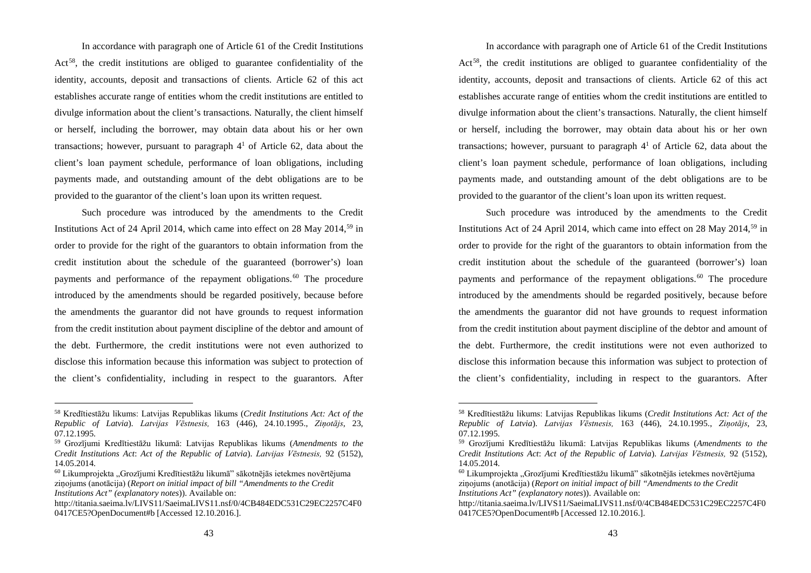In accordance with paragraph one of Article 61 of the Credit Institutions Act<sup>58</sup>, the credit institutions are obliged to guarantee confidentiality of the identity, accounts, deposit and transactions of clients. Article 62 of this act establishes accurate range of entities whom the credit institutions are entitled to divulge information about the client's transactions. Naturally, the client himself or herself, including the borrower, may obtain data about his or her own transactions; however, pursuant to paragraph  $4<sup>1</sup>$  of Article 62, data about the client's loan payment schedule, performance of loan obligations, including payments made, and outstanding amount of the debt obligations are to be provided to the guarantor of the client's loan upon its written request.

Such procedure was introduced by the amendments to the Credit Institutions Act of 24 April 2014, which came into effect on 28 May 2014,<sup>59</sup> in order to provide for the right of the guarantors to obtain information from the credit institution about the schedule of the guaranteed (borrower's) loan payments and performance of the repayment obligations.<sup>60</sup> The procedure introduced by the amendments should be regarded positively, because before the amendments the guarantor did not have grounds to request information from the credit institution about payment discipline of the debtor and amount of the debt. Furthermore, the credit institutions were not even authorized to disclose this information because this information was subject to protection of the client's confidentiality, including in respect to the guarantors. After

 <sup>58</sup> Kredītiestāžu likums: Latvijas Republikas likums (*Credit Institutions Act: Act of the Republic of Latvia*). *Latvijas Vēstnesis,* 163 (446), 24.10.1995., *Ziņotājs*, 23, 07.12.1995.

<sup>59</sup> Grozījumi Kredītiestāžu likumā: Latvijas Republikas likums (*Amendments to the Credit Institutions Act*: *Act of the Republic of Latvia*). *Latvijas Vēstnesis,* 92 (5152), 14.05.2014.

<sup>&</sup>lt;sup>60</sup> Likumprojekta "Grozījumi Kredītiestāžu likumā" sākotnējās ietekmes novērtējuma ziņojums (anotācija) (*Report on initial impact of bill "Amendments to the Credit Institutions Act" (explanatory notes*)). Available on:

http://titania.saeima.lv/LIVS11/SaeimaLIVS11.nsf/0/4CB484EDC531C29EC2257C4F0 0417CE5?OpenDocument#b [Accessed 12.10.2016.].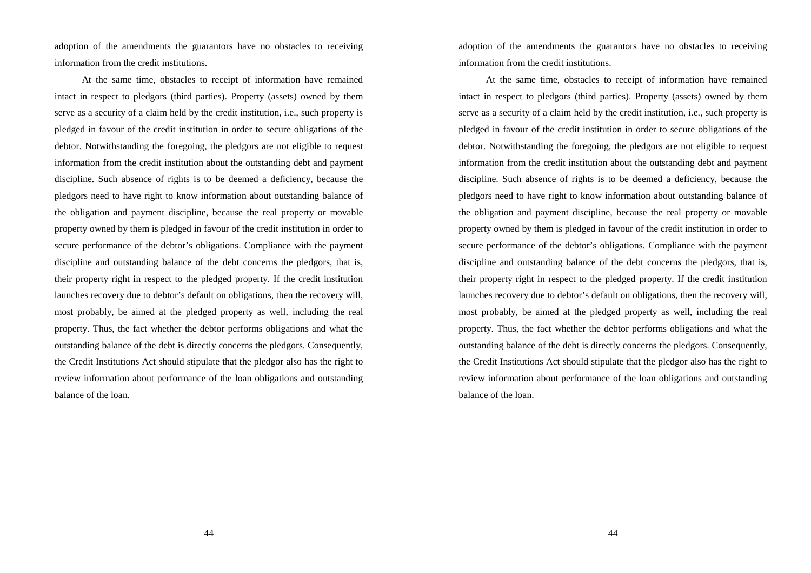adoption of the amendments the guarantors have no obstacles to receiving information from the credit institutions.

At the same time, obstacles to receipt of information have remained intact in respect to pledgors (third parties). Property (assets) owned by them serve as a security of a claim held by the credit institution, i.e., such property is pledged in favour of the credit institution in order to secure obligations of the debtor. Notwithstanding the foregoing, the pledgors are not eligible to request information from the credit institution about the outstanding debt and payment discipline. Such absence of rights is to be deemed a deficiency, because the pledgors need to have right to know information about outstanding balance of the obligation and payment discipline, because the real property or movable property owned by them is pledged in favour of the credit institution in order to secure performance of the debtor's obligations. Compliance with the payment discipline and outstanding balance of the debt concerns the pledgors, that is, their property right in respect to the pledged property. If the credit institution launches recovery due to debtor's default on obligations, then the recovery will, most probably, be aimed at the pledged property as well, including the real property. Thus, the fact whether the debtor performs obligations and what the outstanding balance of the debt is directly concerns the pledgors. Consequently, the Credit Institutions Act should stipulate that the pledgor also has the right to review information about performance of the loan obligations and outstanding balance of the loan.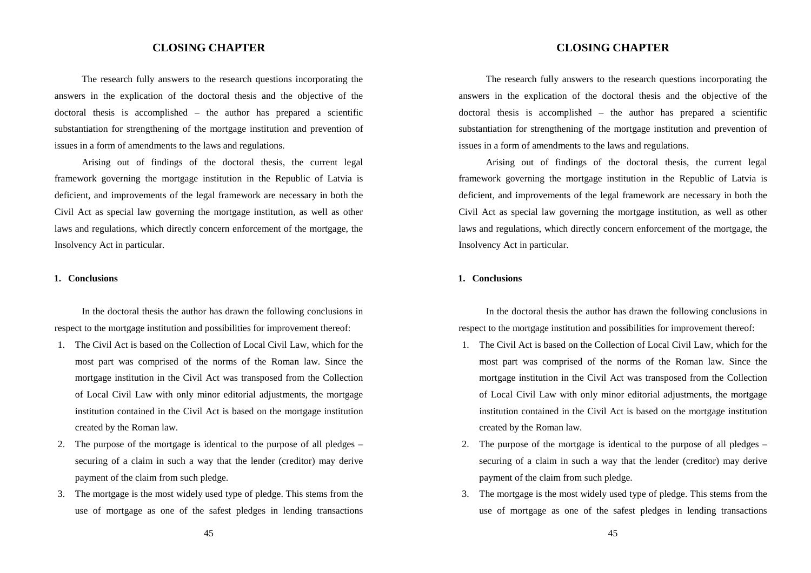## **CLOSING CHAPTER**

The research fully answers to the research questions incorporating the answers in the explication of the doctoral thesis and the objective of the doctoral thesis is accomplished – the author has prepared a scientific substantiation for strengthening of the mortgage institution and prevention of issues in a form of amendments to the laws and regulations.

Arising out of findings of the doctoral thesis, the current legal framework governing the mortgage institution in the Republic of Latvia is deficient, and improvements of the legal framework are necessary in both the Civil Act as special law governing the mortgage institution, as well as other laws and regulations, which directly concern enforcement of the mortgage, the Insolvency Act in particular.

#### **1. Conclusions**

In the doctoral thesis the author has drawn the following conclusions in respect to the mortgage institution and possibilities for improvement thereof:

- 1. The Civil Act is based on the Collection of Local Civil Law, which for the most part was comprised of the norms of the Roman law. Since the mortgage institution in the Civil Act was transposed from the Collection of Local Civil Law with only minor editorial adjustments, the mortgage institution contained in the Civil Act is based on the mortgage institution created by the Roman law.
- 2. The purpose of the mortgage is identical to the purpose of all pledges securing of a claim in such a way that the lender (creditor) may derive payment of the claim from such pledge.
- 3. The mortgage is the most widely used type of pledge. This stems from the use of mortgage as one of the safest pledges in lending transactions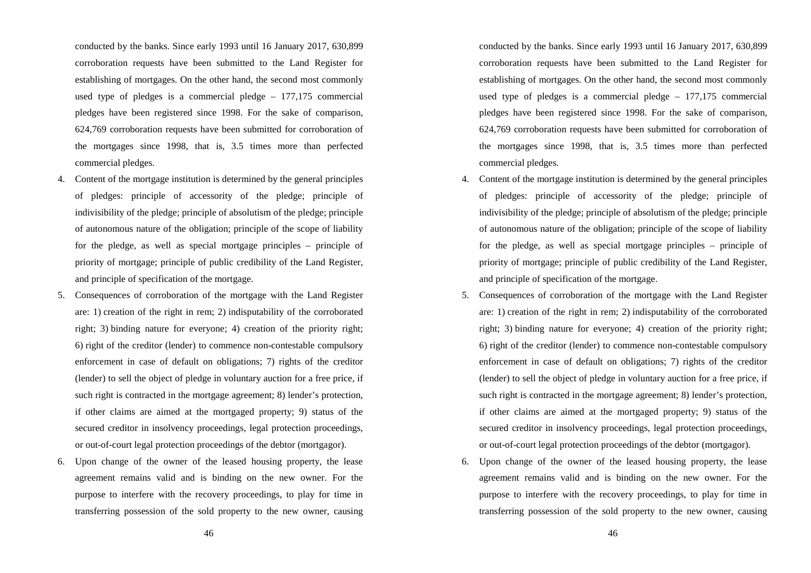conducted by the banks. Since early 1993 until 16 January 2017, 630,899 corroboration requests have been submitted to the Land Register for establishing of mortgages. On the other hand, the second most commonly used type of pledges is a commercial pledge – 177,175 commercial pledges have been registered since 1998. For the sake of comparison, 624,769 corroboration requests have been submitted for corroboration of the mortgages since 1998, that is, 3.5 times more than perfected commercial pledges.

- 4. Content of the mortgage institution is determined by the general principles of pledges: principle of accessority of the pledge; principle of indivisibility of the pledge; principle of absolutism of the pledge; principle of autonomous nature of the obligation; principle of the scope of liability for the pledge, as well as special mortgage principles – principle of priority of mortgage; principle of public credibility of the Land Register, and principle of specification of the mortgage.
- 5. Consequences of corroboration of the mortgage with the Land Register are: 1) creation of the right in rem; 2) indisputability of the corroborated right; 3) binding nature for everyone; 4) creation of the priority right; 6) right of the creditor (lender) to commence non-contestable compulsory enforcement in case of default on obligations; 7) rights of the creditor (lender) to sell the object of pledge in voluntary auction for a free price, if such right is contracted in the mortgage agreement; 8) lender's protection, if other claims are aimed at the mortgaged property; 9) status of the secured creditor in insolvency proceedings, legal protection proceedings, or out-of-court legal protection proceedings of the debtor (mortgagor).
- 6. Upon change of the owner of the leased housing property, the lease agreement remains valid and is binding on the new owner. For the purpose to interfere with the recovery proceedings, to play for time in transferring possession of the sold property to the new owner, causing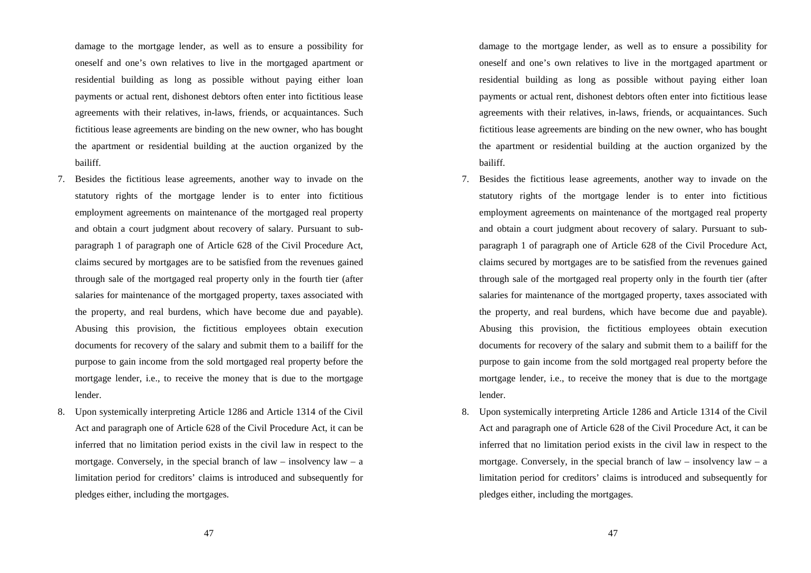damage to the mortgage lender, as well as to ensure a possibility for oneself and one's own relatives to live in the mortgaged apartment or residential building as long as possible without paying either loan payments or actual rent, dishonest debtors often enter into fictitious lease agreements with their relatives, in-laws, friends, or acquaintances. Such fictitious lease agreements are binding on the new owner, who has bought the apartment or residential building at the auction organized by the bailiff.

- 7. Besides the fictitious lease agreements, another way to invade on the statutory rights of the mortgage lender is to enter into fictitious employment agreements on maintenance of the mortgaged real property and obtain a court judgment about recovery of salary. Pursuant to subparagraph 1 of paragraph one of Article 628 of the Civil Procedure Act, claims secured by mortgages are to be satisfied from the revenues gained through sale of the mortgaged real property only in the fourth tier (after salaries for maintenance of the mortgaged property, taxes associated with the property, and real burdens, which have become due and payable). Abusing this provision, the fictitious employees obtain execution documents for recovery of the salary and submit them to a bailiff for the purpose to gain income from the sold mortgaged real property before the mortgage lender, i.e., to receive the money that is due to the mortgage lender.
- 8. Upon systemically interpreting Article 1286 and Article 1314 of the Civil Act and paragraph one of Article 628 of the Civil Procedure Act, it can be inferred that no limitation period exists in the civil law in respect to the mortgage. Conversely, in the special branch of law – insolvency  $law - a$ limitation period for creditors' claims is introduced and subsequently for pledges either, including the mortgages.
	- 47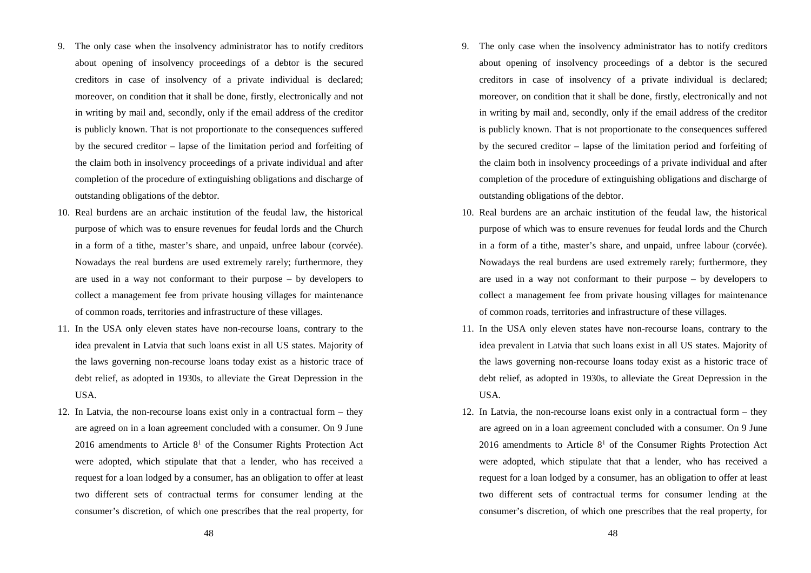- 9. The only case when the insolvency administrator has to notify creditors about opening of insolvency proceedings of a debtor is the secured creditors in case of insolvency of a private individual is declared; moreover, on condition that it shall be done, firstly, electronically and not in writing by mail and, secondly, only if the email address of the creditor is publicly known. That is not proportionate to the consequences suffered by the secured creditor – lapse of the limitation period and forfeiting of the claim both in insolvency proceedings of a private individual and after completion of the procedure of extinguishing obligations and discharge of outstanding obligations of the debtor.
- 10. Real burdens are an archaic institution of the feudal law, the historical purpose of which was to ensure revenues for feudal lords and the Church in a form of a tithe, master's share, and unpaid, unfree labour (corvée). Nowadays the real burdens are used extremely rarely; furthermore, they are used in a way not conformant to their purpose – by developers to collect a management fee from private housing villages for maintenance of common roads, territories and infrastructure of these villages.
- 11. In the USA only eleven states have non-recourse loans, contrary to the idea prevalent in Latvia that such loans exist in all US states. Majority of the laws governing non-recourse loans today exist as a historic trace of debt relief, as adopted in 1930s, to alleviate the Great Depression in the USA.
- 12. In Latvia, the non-recourse loans exist only in a contractual form they are agreed on in a loan agreement concluded with a consumer. On 9 June 2016 amendments to Article  $8<sup>1</sup>$  of the Consumer Rights Protection Act were adopted, which stipulate that that a lender, who has received a request for a loan lodged by a consumer, has an obligation to offer at least two different sets of contractual terms for consumer lending at the consumer's discretion, of which one prescribes that the real property, for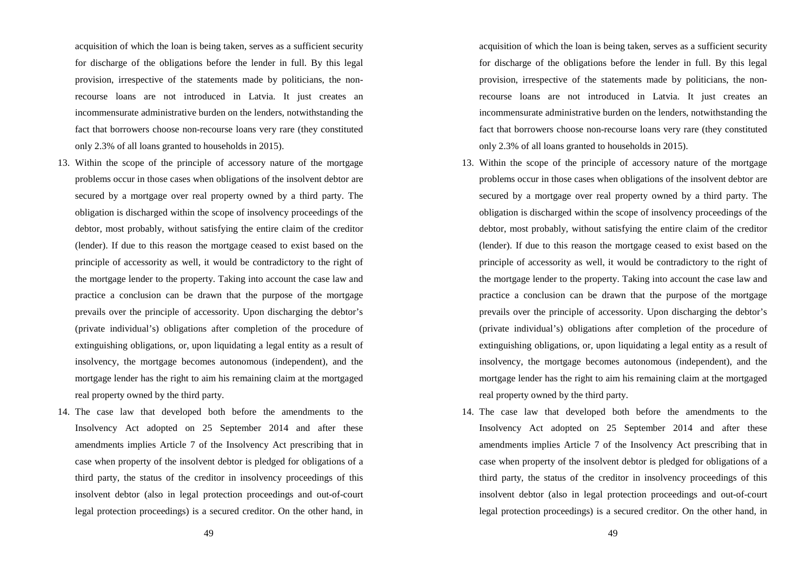acquisition of which the loan is being taken, serves as a sufficient security for discharge of the obligations before the lender in full. By this legal provision, irrespective of the statements made by politicians, the nonrecourse loans are not introduced in Latvia. It just creates an incommensurate administrative burden on the lenders, notwithstanding the fact that borrowers choose non-recourse loans very rare (they constituted only 2.3% of all loans granted to households in 2015).

- 13. Within the scope of the principle of accessory nature of the mortgage problems occur in those cases when obligations of the insolvent debtor are secured by a mortgage over real property owned by a third party. The obligation is discharged within the scope of insolvency proceedings of the debtor, most probably, without satisfying the entire claim of the creditor (lender). If due to this reason the mortgage ceased to exist based on the principle of accessority as well, it would be contradictory to the right of the mortgage lender to the property. Taking into account the case law and practice a conclusion can be drawn that the purpose of the mortgage prevails over the principle of accessority. Upon discharging the debtor's (private individual's) obligations after completion of the procedure of extinguishing obligations, or, upon liquidating a legal entity as a result of insolvency, the mortgage becomes autonomous (independent), and the mortgage lender has the right to aim his remaining claim at the mortgaged real property owned by the third party.
- 14. The case law that developed both before the amendments to the Insolvency Act adopted on 25 September 2014 and after these amendments implies Article 7 of the Insolvency Act prescribing that in case when property of the insolvent debtor is pledged for obligations of a third party, the status of the creditor in insolvency proceedings of this insolvent debtor (also in legal protection proceedings and out-of-court legal protection proceedings) is a secured creditor. On the other hand, in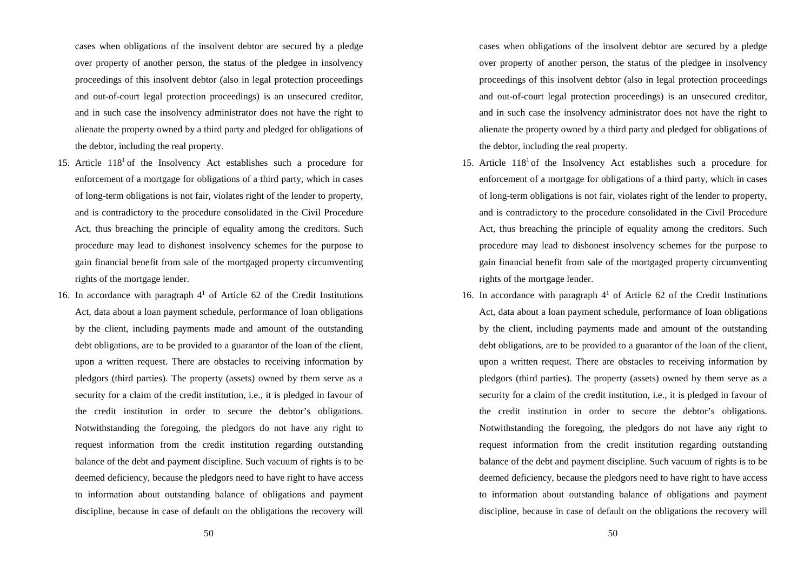cases when obligations of the insolvent debtor are secured by a pledge over property of another person, the status of the pledgee in insolvency proceedings of this insolvent debtor (also in legal protection proceedings and out-of-court legal protection proceedings) is an unsecured creditor, and in such case the insolvency administrator does not have the right to alienate the property owned by a third party and pledged for obligations of the debtor, including the real property.

- 15. Article  $118<sup>1</sup>$  of the Insolvency Act establishes such a procedure for enforcement of a mortgage for obligations of a third party, which in cases of long-term obligations is not fair, violates right of the lender to property, and is contradictory to the procedure consolidated in the Civil Procedure Act, thus breaching the principle of equality among the creditors. Such procedure may lead to dishonest insolvency schemes for the purpose to gain financial benefit from sale of the mortgaged property circumventing rights of the mortgage lender.
- 16. In accordance with paragraph  $4<sup>1</sup>$  of Article 62 of the Credit Institutions Act, data about a loan payment schedule, performance of loan obligations by the client, including payments made and amount of the outstanding debt obligations, are to be provided to a guarantor of the loan of the client, upon a written request. There are obstacles to receiving information by pledgors (third parties). The property (assets) owned by them serve as a security for a claim of the credit institution, i.e., it is pledged in favour of the credit institution in order to secure the debtor's obligations. Notwithstanding the foregoing, the pledgors do not have any right to request information from the credit institution regarding outstanding balance of the debt and payment discipline. Such vacuum of rights is to be deemed deficiency, because the pledgors need to have right to have access to information about outstanding balance of obligations and payment discipline, because in case of default on the obligations the recovery will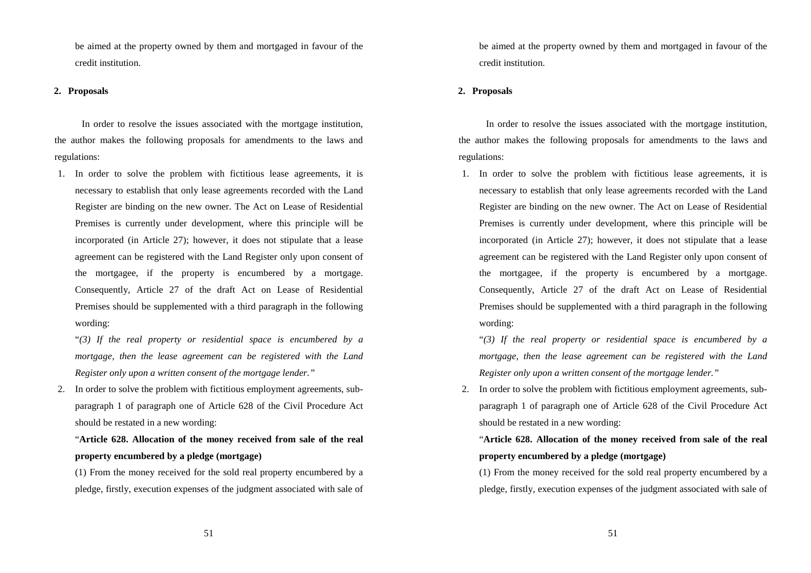be aimed at the property owned by them and mortgaged in favour of the credit institution.

#### **2. Proposals**

In order to resolve the issues associated with the mortgage institution, the author makes the following proposals for amendments to the laws and regulations:

1. In order to solve the problem with fictitious lease agreements, it is necessary to establish that only lease agreements recorded with the Land Register are binding on the new owner. The Act on Lease of Residential Premises is currently under development, where this principle will be incorporated (in Article 27); however, it does not stipulate that a lease agreement can be registered with the Land Register only upon consent of the mortgagee, if the property is encumbered by a mortgage. Consequently, Article 27 of the draft Act on Lease of Residential Premises should be supplemented with a third paragraph in the following wording:

"*(3) If the real property or residential space is encumbered by a mortgage, then the lease agreement can be registered with the Land Register only upon a written consent of the mortgage lender."*

2. In order to solve the problem with fictitious employment agreements, subparagraph 1 of paragraph one of Article 628 of the Civil Procedure Act should be restated in a new wording:

## "**Article 628. Allocation of the money received from sale of the real property encumbered by a pledge (mortgage)**

(1) From the money received for the sold real property encumbered by a pledge, firstly, execution expenses of the judgment associated with sale of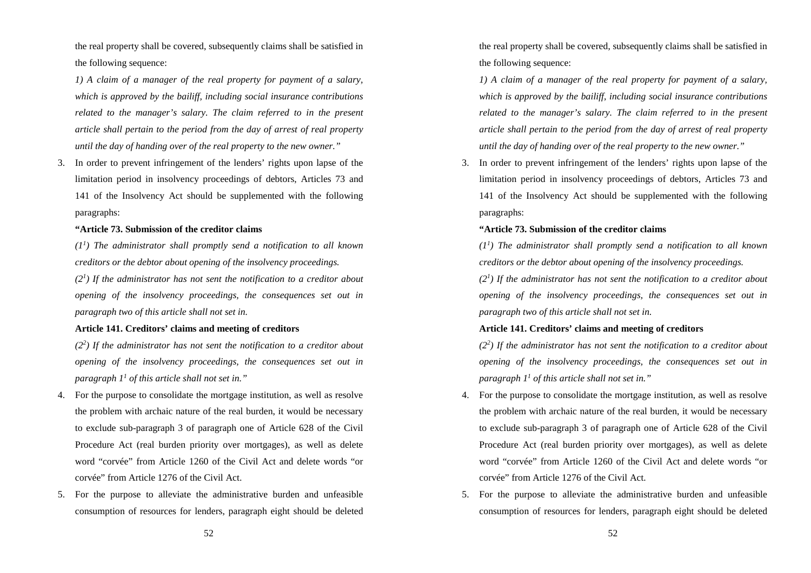the real property shall be covered, subsequently claims shall be satisfied in the following sequence:

*1) A claim of a manager of the real property for payment of a salary, which is approved by the bailiff, including social insurance contributions related to the manager's salary. The claim referred to in the present article shall pertain to the period from the day of arrest of real property until the day of handing over of the real property to the new owner."*

3. In order to prevent infringement of the lenders' rights upon lapse of the limitation period in insolvency proceedings of debtors, Articles 73 and 141 of the Insolvency Act should be supplemented with the following paragraphs:

#### **"Article 73. Submission of the creditor claims**

*(11 ) The administrator shall promptly send a notification to all known creditors or the debtor about opening of the insolvency proceedings.* 

 $(2<sup>1</sup>)$  If the administrator has not sent the notification to a creditor about *opening of the insolvency proceedings, the consequences set out in paragraph two of this article shall not set in.*

#### **Article 141. Creditors' claims and meeting of creditors**

 $(2<sup>2</sup>)$  If the administrator has not sent the notification to a creditor about *opening of the insolvency proceedings, the consequences set out in paragraph 11 of this article shall not set in."* 

- 4. For the purpose to consolidate the mortgage institution, as well as resolve the problem with archaic nature of the real burden, it would be necessary to exclude sub-paragraph 3 of paragraph one of Article 628 of the Civil Procedure Act (real burden priority over mortgages), as well as delete word "corvée" from Article 1260 of the Civil Act and delete words "or corvée" from Article 1276 of the Civil Act.
- 5. For the purpose to alleviate the administrative burden and unfeasible consumption of resources for lenders, paragraph eight should be deleted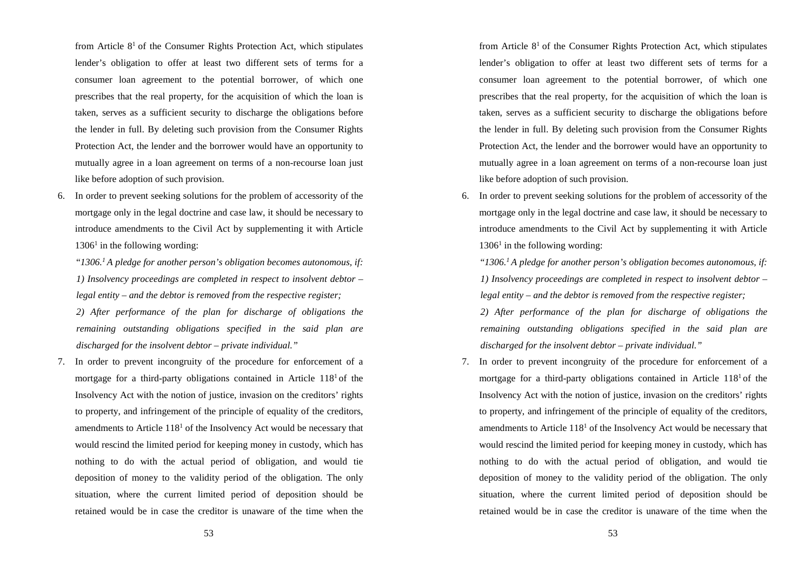from Article  $8<sup>1</sup>$  of the Consumer Rights Protection Act, which stipulates lender's obligation to offer at least two different sets of terms for a consumer loan agreement to the potential borrower, of which one prescribes that the real property, for the acquisition of which the loan is taken, serves as a sufficient security to discharge the obligations before the lender in full. By deleting such provision from the Consumer Rights Protection Act, the lender and the borrower would have an opportunity to mutually agree in a loan agreement on terms of a non-recourse loan just like before adoption of such provision.

6. In order to prevent seeking solutions for the problem of accessority of the mortgage only in the legal doctrine and case law, it should be necessary to introduce amendments to the Civil Act by supplementing it with Article  $1306<sup>1</sup>$  in the following wording:

"*1306.1 A pledge for another person's obligation becomes autonomous, if: 1) Insolvency proceedings are completed in respect to insolvent debtor – legal entity – and the debtor is removed from the respective register;*

*2) After performance of the plan for discharge of obligations the remaining outstanding obligations specified in the said plan are discharged for the insolvent debtor – private individual."*

7. In order to prevent incongruity of the procedure for enforcement of a mortgage for a third-party obligations contained in Article  $118<sup>1</sup>$  of the Insolvency Act with the notion of justice, invasion on the creditors' rights to property, and infringement of the principle of equality of the creditors, amendments to Article  $118<sup>1</sup>$  of the Insolvency Act would be necessary that would rescind the limited period for keeping money in custody, which has nothing to do with the actual period of obligation, and would tie deposition of money to the validity period of the obligation. The only situation, where the current limited period of deposition should be retained would be in case the creditor is unaware of the time when the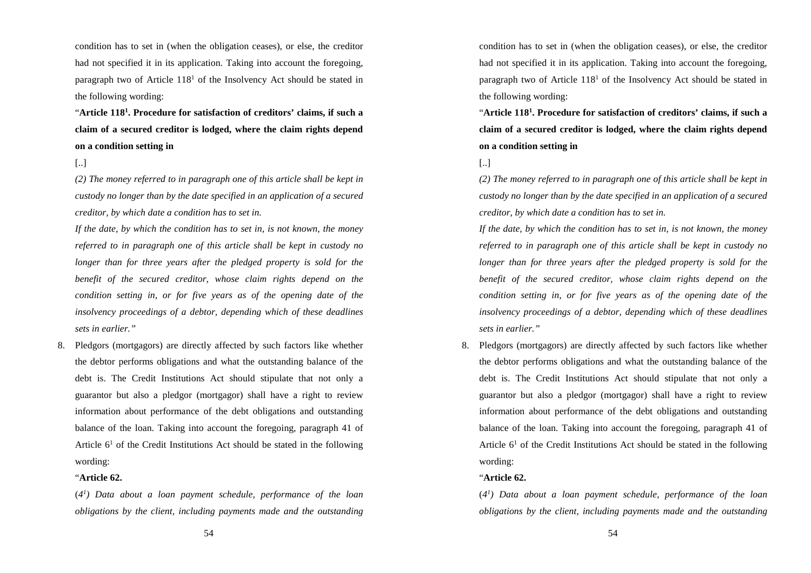condition has to set in (when the obligation ceases), or else, the creditor had not specified it in its application. Taking into account the foregoing, paragraph two of Article  $118<sup>1</sup>$  of the Insolvency Act should be stated in the following wording:

"**Article 1181 . Procedure for satisfaction of creditors' claims, if such a claim of a secured creditor is lodged, where the claim rights depend on a condition setting in**

[..]

*(2) The money referred to in paragraph one of this article shall be kept in custody no longer than by the date specified in an application of a secured creditor, by which date a condition has to set in.*

*If the date, by which the condition has to set in, is not known, the money referred to in paragraph one of this article shall be kept in custody no longer than for three years after the pledged property is sold for the benefit of the secured creditor, whose claim rights depend on the condition setting in, or for five years as of the opening date of the insolvency proceedings of a debtor, depending which of these deadlines sets in earlier."*

8. Pledgors (mortgagors) are directly affected by such factors like whether the debtor performs obligations and what the outstanding balance of the debt is. The Credit Institutions Act should stipulate that not only a guarantor but also a pledgor (mortgagor) shall have a right to review information about performance of the debt obligations and outstanding balance of the loan. Taking into account the foregoing, paragraph 41 of Article  $6<sup>1</sup>$  of the Credit Institutions Act should be stated in the following wording:

#### "**Article 62.**

(*41 ) Data about a loan payment schedule, performance of the loan obligations by the client, including payments made and the outstanding*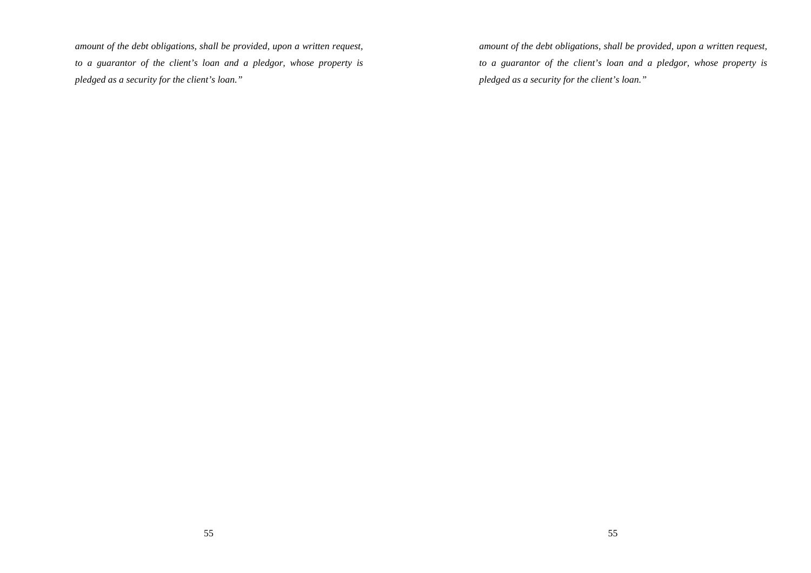*amount of the debt obligations, shall be provided, upon a written request, to a guarantor of the client's loan and a pledgor, whose property is pledged as a security for the client's loan."*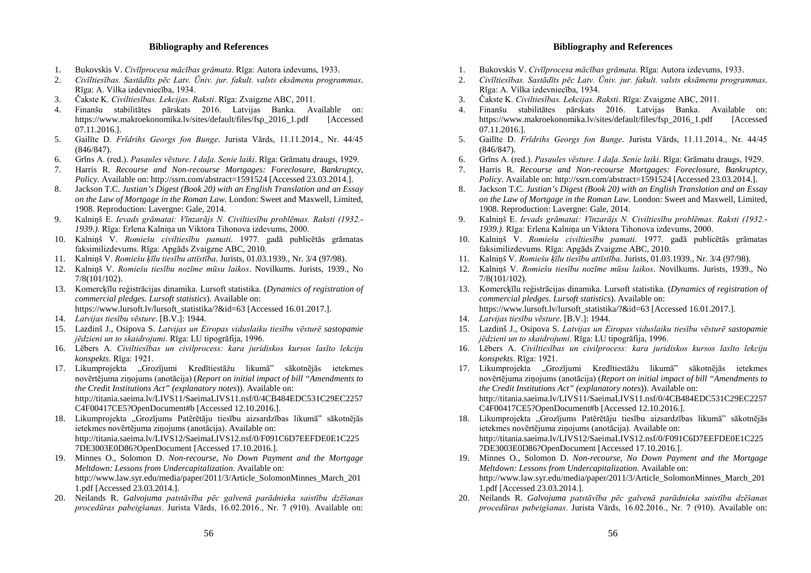#### **Bibliography and References**

- 1. Bukovskis V. *Civīlprocesa mācības grāmata*. Rīga: Autora izdevums, 1933.
- 2. *Civīltiesības. Sastādīts pēc Latv. Ūniv. jur. fakult. valsts eksāmenu programmas*. Rīga: A. Vilka izdevniecība, 1934.
- 3. Čakste K. *Civiltiesības. Lekcijas. Raksti*. Rīga: Zvaigzne ABC, 2011.
- 4. Finanšu stabilitātes pārskats 2016. Latvijas Banka. Available on: https://www.makroekonomika.lv/sites/default/files/fsp\_2016\_1.pdf [Accessed] 07.11.2016.].
- 5. Gailīte D. *Frīdrihs Georgs fon Bunge*. Jurista Vārds, 11.11.2014., Nr. 44/45 (846/847).
- 6. Grīns A. (red.). *Pasaules vēsture. I daļa. Senie laiki*. Rīga: Grāmatu draugs, 1929.
- 7. Harris R. *Recourse and Non-recourse Mortgages: Foreclosure, Bankruptcy, Policy*. Available on: http://ssrn.com/abstract=1591524 [Accessed 23.03.2014.].
- 8. Jackson T.C. *Justian's Digest (Book 20) with an English Translation and an Essay on the Law of Mortgage in the Roman Law*. London: Sweet and Maxwell, Limited, 1908. Reproduction: Lavergne: Gale, 2014.
- 9. Kalniņš E. *Ievads grāmatai: Vīnzarājs N. Civiltiesību problēmas. Raksti (1932.- 1939.)*. Rīga: Erlena Kalniņa un Viktora Tihonova izdevums, 2000.
- 10. Kalniņš V. *Romiešu civiltiesību pamati*. 1977. gadā publicētās grāmatas faksimilizdevums. Rīga: Apgāds Zvaigzne ABC, 2010.
- 11. Kalniņš V. *Romiešu ķīlu tiesību attīstība*. Jurists, 01.03.1939., Nr. 3/4 (97/98).
- 12. Kalniņš V. *Romiešu tiesību nozīme mūsu laikos*. Novilkums. Jurists, 1939., No 7/8(101/102).
- 13. Komercķīlu reģistrācijas dinamika. Lursoft statistika. (*Dynamics of registration of commercial pledges. Lursoft statistics*). Available on:
	- https://www.lursoft.lv/lursoft\_statistika/?&id=63 [Accessed 16.01.2017.].
- 14. *Latvijas tiesību vēsture*. [B.V.]: 1944.
- 15. Lazdinš J., Osipova S. *Latvijas un Eiropas viduslaiku tiesību vēsturē sastopamie jēdzieni un to skaidrojumi*. Rīga: LU tipogrāfija, 1996.
- 16. Lēbers A. *Civiltiesības un civilprocess: kara juridiskos kursos lasīto lekciju konspekts*. Rīga: 1921.
- 17. Likumprojekta "Grozījumi Kredītiestāžu likumā" sākotnējās ietekmes novērtējuma ziņojums (anotācija) (*Report on initial impact of bill "Amendments to the Credit Institutions Act" (explanatory notes*)). Available on: http://titania.saeima.lv/LIVS11/SaeimaLIVS11.nsf/0/4CB484EDC531C29EC2257 C4F00417CE5?OpenDocument#b [Accessed 12.10.2016.].
- 18. Likumprojekta "Grozījums Patērētāju tiesību aizsardzības likumā" sākotnējās ietekmes novērtējuma ziņojums (anotācija). Available on: http://titania.saeima.lv/LIVS12/SaeimaLIVS12.nsf/0/F091C6D7EEFDE0E1C225 7DE3003E0D86?OpenDocument [Accessed 17.10.2016.].
- 19. Minnes O., Solomon D. *Non-recourse, No Down Payment and the Mortgage Meltdown: Lessons from Undercapitalization*. Available on: http://www.law.syr.edu/media/paper/2011/3/Article\_SolomonMinnes\_March\_201 1.pdf [Accessed 23.03.2014.].
- 20. Neilands R. *Galvojuma patstāvība pēc galvenā parādnieka saistību dzēšanas procedūras pabeigšanas*. Jurista Vārds, 16.02.2016., Nr. 7 (910). Available on: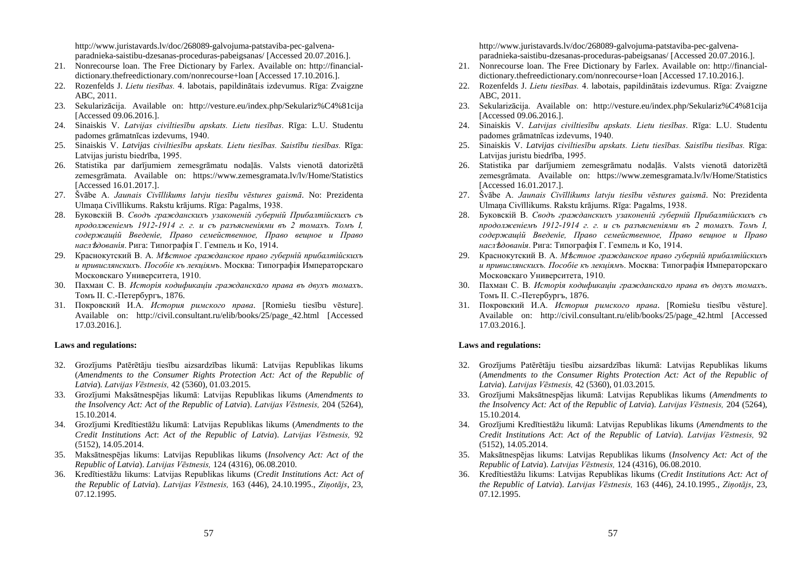http://www.juristavards.lv/doc/268089-galvojuma-patstaviba-pec-galvenaparadnieka-saistibu-dzesanas-proceduras-pabeigsanas/ [Accessed 20.07.2016.].

- 21. Nonrecourse loan. The Free Dictionary by Farlex. Available on: http://financialdictionary.thefreedictionary.com/nonrecourse+loan [Accessed 17.10.2016.].
- 22. Rozenfelds J. *Lietu tiesības.* 4. labotais, papildinātais izdevumus. Rīga: Zvaigzne ABC, 2011.
- 23. Sekularizācija. Available on: http://vesture.eu/index.php/Sekulariz%C4%81cija [Accessed 09.06.2016.].
- 24. Sinaiskis V. *Latvijas civiltiesību apskats. Lietu tiesības*. Rīga: L.U. Studentu padomes grāmatnīcas izdevums, 1940.
- 25. Sinaiskis V. *Latvijas civiltiesību apskats. Lietu tiesības. Saistību tiesības.* Rīga: Latvijas juristu biedrība, 1995.
- 26. Statistika par darījumiem zemesgrāmatu nodaļās. Valsts vienotā datorizētā zemesgrāmata. Available on: https://www.zemesgramata.lv/lv/Home/Statistics [Accessed 16.01.2017.].
- 27. Švābe A. *Jaunais Civīllikums latvju tiesību vēstures gaismā*. No: Prezidenta Ulmaņa Civīllikums. Rakstu krājums. Rīga: Pagalms, 1938.
- 28. Буковскiй В. *Сводъ гражданскихъ узаконеній губерній Прибалтійскихъ съ продолженiемъ 1912-1914 г. г. и съ разъясненiями въ 2 томахъ. Томъ I, содержащiй Введенiе, Право семейственное, Право вещное и Право насл*ѣ*дованiя*. Рига: Типографiя Г. Гемпель и Ко, 1914.
- 29. Краснокутский В. А. *М*ѣ*стное гражданское право губернiй прибалтiйскихъ и привислянскихъ. Пособiе къ лекцiямъ*. Москва: Типографiя Императорскаго Московскаго Университета, 1910.
- 30. Пахман С. В. *Исторiя кодификацiи гражданскaго права въ двухъ томахъ*. Томъ II. С.-Петербургъ, 1876.
- 31. Покровский И.А. *История римского права*. [Romiešu tiesību vēsture]. Available on: http://civil.consultant.ru/elib/books/25/page\_42.html [Accessed 17.03.2016.].

#### **Laws and regulations:**

- 32. Grozījums Patērētāju tiesību aizsardzības likumā: Latvijas Republikas likums (*Amendments to the Consumer Rights Protection Act: Act of the Republic of Latvia*). *Latvijas Vēstnesis,* 42 (5360), 01.03.2015.
- 33. Grozījumi Maksātnespējas likumā: Latvijas Republikas likums (*Amendments to the Insolvency Act: Act of the Republic of Latvia*). *Latvijas Vēstnesis,* 204 (5264), 15.10.2014.
- 34. Grozījumi Kredītiestāžu likumā: Latvijas Republikas likums (*Amendments to the Credit Institutions Act*: *Act of the Republic of Latvia*). *Latvijas Vēstnesis,* 92 (5152), 14.05.2014.
- 35. Maksātnespējas likums: Latvijas Republikas likums (*Insolvency Act: Act of the Republic of Latvia*). *Latvijas Vēstnesis,* 124 (4316), 06.08.2010.
- 36. Kredītiestāžu likums: Latvijas Republikas likums (*Credit Institutions Act: Act of the Republic of Latvia*). *Latvijas Vēstnesis,* 163 (446), 24.10.1995., *Ziņotājs*, 23, 07.12.1995.